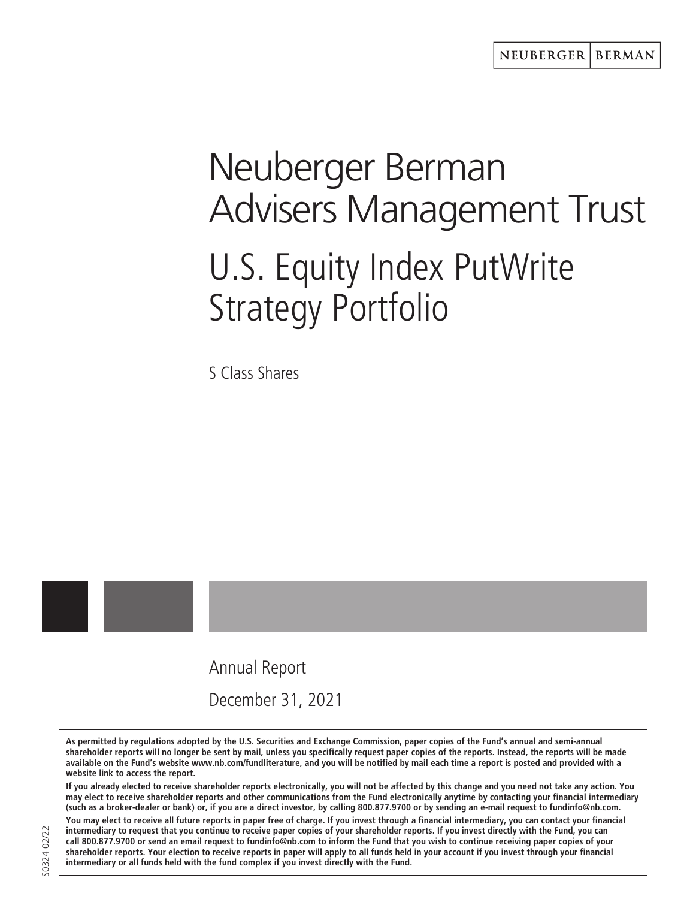# Neuberger Berman Advisers Management Trust U.S. Equity Index PutWrite Strategy Portfolio

S Class Shares



Annual Report

December 31, 2021

**As permitted by regulations adopted by the U.S. Securities and Exchange Commission, paper copies of the Fund's annual and semi-annual shareholder reports will no longer be sent by mail, unless you specifically request paper copies of the reports. Instead, the reports will be made available on the Fund's website www.nb.com/fundliterature, and you will be notified by mail each time a report is posted and provided with a website link to access the report.**

**If you already elected to receive shareholder reports electronically, you will not be affected by this change and you need not take any action. You may elect to receive shareholder reports and other communications from the Fund electronically anytime by contacting your financial intermediary (such as a broker-dealer or bank) or, if you are a direct investor, by calling 800.877.9700 or by sending an e-mail request to fundinfo@nb.com. You may elect to receive all future reports in paper free of charge. If you invest through a financial intermediary, you can contact your financial intermediary to request that you continue to receive paper copies of your shareholder reports. If you invest directly with the Fund, you can call 800.877.9700 or send an email request to fundinfo@nb.com to inform the Fund that you wish to continue receiving paper copies of your shareholder reports. Your election to receive reports in paper will apply to all funds held in your account if you invest through your financial intermediary or all funds held with the fund complex if you invest directly with the Fund.**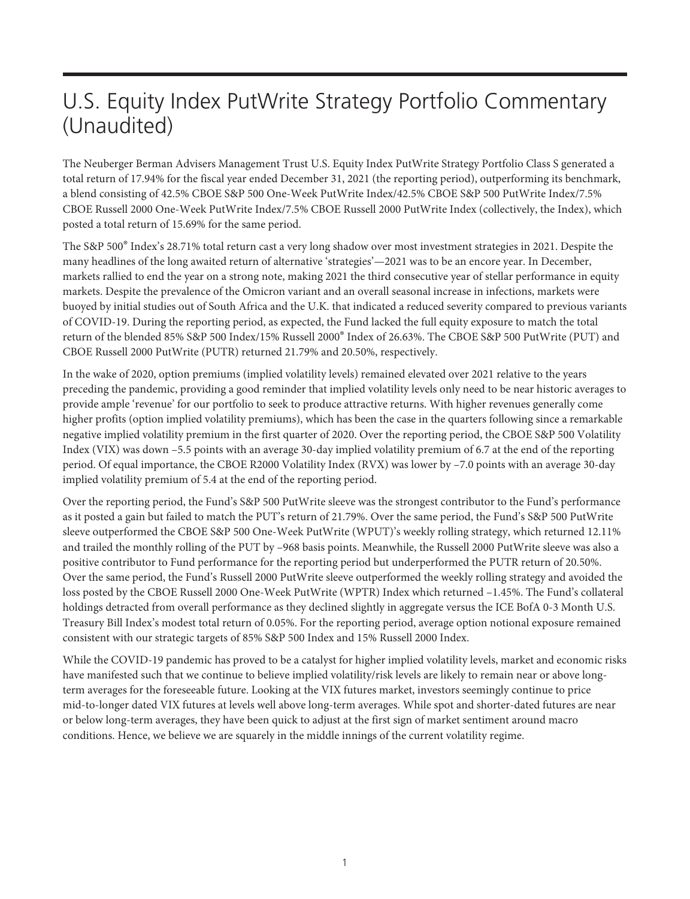## U.S. Equity Index PutWrite Strategy Portfolio Commentary (Unaudited)

The Neuberger Berman Advisers Management Trust U.S. Equity Index PutWrite Strategy Portfolio Class S generated a total return of 17.94% for the fiscal year ended December 31, 2021 (the reporting period), outperforming its benchmark, a blend consisting of 42.5% CBOE S&P 500 One-Week PutWrite Index/42.5% CBOE S&P 500 PutWrite Index/7.5% CBOE Russell 2000 One-Week PutWrite Index/7.5% CBOE Russell 2000 PutWrite Index (collectively, the Index), which posted a total return of 15.69% for the same period.

The S&P 500® Index's 28.71% total return cast a very long shadow over most investment strategies in 2021. Despite the many headlines of the long awaited return of alternative 'strategies'—2021 was to be an encore year. In December, markets rallied to end the year on a strong note, making 2021 the third consecutive year of stellar performance in equity markets. Despite the prevalence of the Omicron variant and an overall seasonal increase in infections, markets were buoyed by initial studies out of South Africa and the U.K. that indicated a reduced severity compared to previous variants of COVID-19. During the reporting period, as expected, the Fund lacked the full equity exposure to match the total return of the blended 85% S&P 500 Index/15% Russell 2000® Index of 26.63%. The CBOE S&P 500 PutWrite (PUT) and CBOE Russell 2000 PutWrite (PUTR) returned 21.79% and 20.50%, respectively.

In the wake of 2020, option premiums (implied volatility levels) remained elevated over 2021 relative to the years preceding the pandemic, providing a good reminder that implied volatility levels only need to be near historic averages to provide ample 'revenue' for our portfolio to seek to produce attractive returns. With higher revenues generally come higher profits (option implied volatility premiums), which has been the case in the quarters following since a remarkable negative implied volatility premium in the first quarter of 2020. Over the reporting period, the CBOE S&P 500 Volatility Index (VIX) was down –5.5 points with an average 30-day implied volatility premium of 6.7 at the end of the reporting period. Of equal importance, the CBOE R2000 Volatility Index (RVX) was lower by –7.0 points with an average 30-day implied volatility premium of 5.4 at the end of the reporting period.

Over the reporting period, the Fund's S&P 500 PutWrite sleeve was the strongest contributor to the Fund's performance as it posted a gain but failed to match the PUT's return of 21.79%. Over the same period, the Fund's S&P 500 PutWrite sleeve outperformed the CBOE S&P 500 One-Week PutWrite (WPUT)'s weekly rolling strategy, which returned 12.11% and trailed the monthly rolling of the PUT by –968 basis points. Meanwhile, the Russell 2000 PutWrite sleeve was also a positive contributor to Fund performance for the reporting period but underperformed the PUTR return of 20.50%. Over the same period, the Fund's Russell 2000 PutWrite sleeve outperformed the weekly rolling strategy and avoided the loss posted by the CBOE Russell 2000 One-Week PutWrite (WPTR) Index which returned –1.45%. The Fund's collateral holdings detracted from overall performance as they declined slightly in aggregate versus the ICE BofA 0-3 Month U.S. Treasury Bill Index's modest total return of 0.05%. For the reporting period, average option notional exposure remained consistent with our strategic targets of 85% S&P 500 Index and 15% Russell 2000 Index.

While the COVID-19 pandemic has proved to be a catalyst for higher implied volatility levels, market and economic risks have manifested such that we continue to believe implied volatility/risk levels are likely to remain near or above longterm averages for the foreseeable future. Looking at the VIX futures market, investors seemingly continue to price mid-to-longer dated VIX futures at levels well above long-term averages. While spot and shorter-dated futures are near or below long-term averages, they have been quick to adjust at the first sign of market sentiment around macro conditions. Hence, we believe we are squarely in the middle innings of the current volatility regime.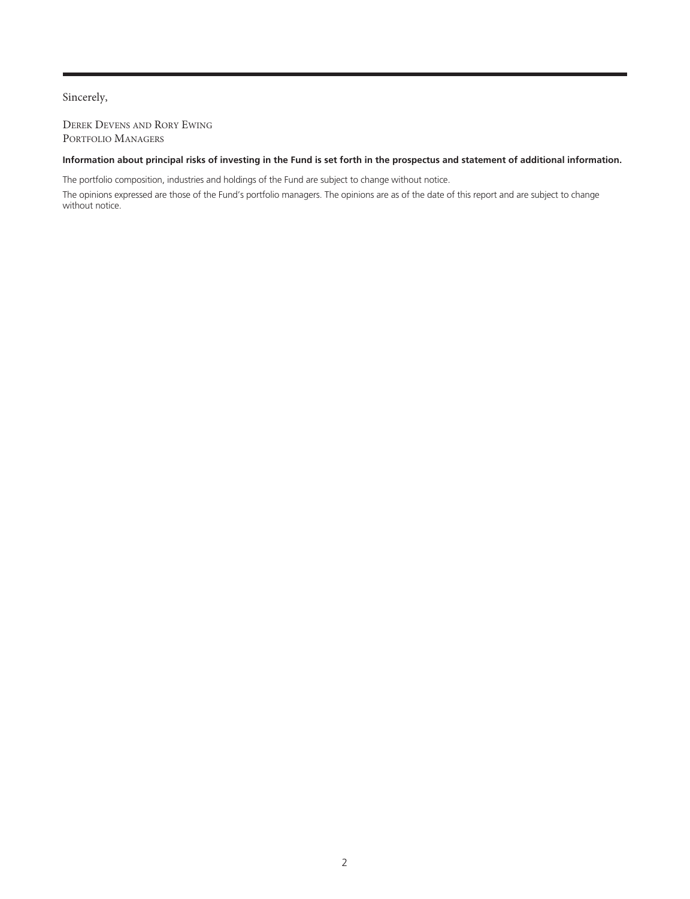Sincerely,

DEREK DEVENS AND RORY EWING PORTFOLIO MANAGERS

#### **Information about principal risks of investing in the Fund is set forth in the prospectus and statement of additional information.**

The portfolio composition, industries and holdings of the Fund are subject to change without notice.

The opinions expressed are those of the Fund's portfolio managers. The opinions are as of the date of this report and are subject to change without notice.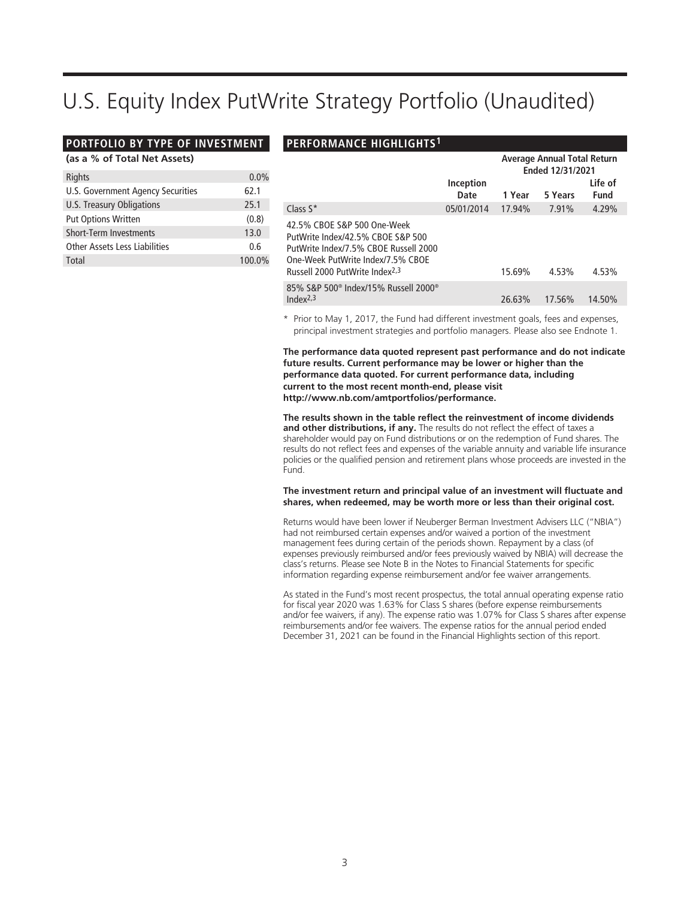## U.S. Equity Index PutWrite Strategy Portfolio (Unaudited)

#### **PORTFOLIO BY TYPE OF INVESTMENT**

#### **(as a % of Total Net Assets)**

| <b>Rights</b>                     | $0.0\%$ |
|-----------------------------------|---------|
| U.S. Government Agency Securities | 62.1    |
| U.S. Treasury Obligations         | 25.1    |
| <b>Put Options Written</b>        | (0.8)   |
| <b>Short-Term Investments</b>     | 13.0    |
| Other Assets Less Liabilities     | 0.6     |
| Total                             | 100.0%  |

#### **PERFORMANCE HIGHLIGHTS1**

|                                                                                                                                                                                              |                   |        | <b>Average Annual Total Return</b><br>Ended 12/31/2021 |                        |
|----------------------------------------------------------------------------------------------------------------------------------------------------------------------------------------------|-------------------|--------|--------------------------------------------------------|------------------------|
|                                                                                                                                                                                              | Inception<br>Date | 1 Year | 5 Years                                                | Life of<br><b>Fund</b> |
| Class $S^*$                                                                                                                                                                                  | 05/01/2014        | 17.94% | 7.91%                                                  | 4.29%                  |
| 42.5% CBOE S&P 500 One-Week<br>PutWrite Index/42.5% CBOE S&P 500<br>PutWrite Index/7.5% CBOE Russell 2000<br>One-Week PutWrite Index/7.5% CBOE<br>Russell 2000 PutWrite Index <sup>2,3</sup> |                   | 15.69% | 4.53%                                                  | 4.53%                  |
| 85% S&P 500 <sup>®</sup> Index/15% Russell 2000 <sup>®</sup><br>Index <sup>2,3</sup>                                                                                                         |                   | 26.63% | 17.56%                                                 | 14.50%                 |

\* Prior to May 1, 2017, the Fund had different investment goals, fees and expenses, principal investment strategies and portfolio managers. Please also see Endnote 1.

**The performance data quoted represent past performance and do not indicate future results. Current performance may be lower or higher than the performance data quoted. For current performance data, including current to the most recent month-end, please visit http://www.nb.com/amtportfolios/performance.**

#### **The results shown in the table reflect the reinvestment of income dividends and other distributions, if any.** The results do not reflect the effect of taxes a shareholder would pay on Fund distributions or on the redemption of Fund shares. The results do not reflect fees and expenses of the variable annuity and variable life insurance policies or the qualified pension and retirement plans whose proceeds are invested in the Fund.

#### **The investment return and principal value of an investment will fluctuate and shares, when redeemed, may be worth more or less than their original cost.**

Returns would have been lower if Neuberger Berman Investment Advisers LLC ("NBIA") had not reimbursed certain expenses and/or waived a portion of the investment management fees during certain of the periods shown. Repayment by a class (of expenses previously reimbursed and/or fees previously waived by NBIA) will decrease the class's returns. Please see Note B in the Notes to Financial Statements for specific information regarding expense reimbursement and/or fee waiver arrangements.

As stated in the Fund's most recent prospectus, the total annual operating expense ratio for fiscal year 2020 was 1.63% for Class S shares (before expense reimbursements and/or fee waivers, if any). The expense ratio was 1.07% for Class S shares after expense reimbursements and/or fee waivers. The expense ratios for the annual period ended December 31, 2021 can be found in the Financial Highlights section of this report.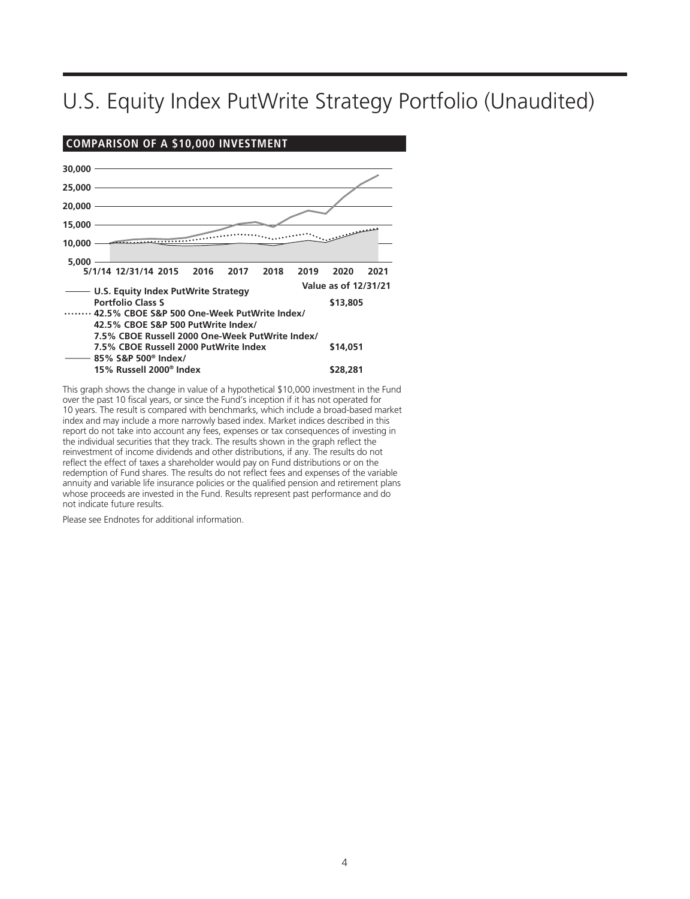## U.S. Equity Index PutWrite Strategy Portfolio (Unaudited)



This graph shows the change in value of a hypothetical \$10,000 investment in the Fund over the past 10 fiscal years, or since the Fund's inception if it has not operated for 10 years. The result is compared with benchmarks, which include a broad-based market index and may include a more narrowly based index. Market indices described in this report do not take into account any fees, expenses or tax consequences of investing in the individual securities that they track. The results shown in the graph reflect the reinvestment of income dividends and other distributions, if any. The results do not reflect the effect of taxes a shareholder would pay on Fund distributions or on the redemption of Fund shares. The results do not reflect fees and expenses of the variable annuity and variable life insurance policies or the qualified pension and retirement plans whose proceeds are invested in the Fund. Results represent past performance and do not indicate future results.

Please see Endnotes for additional information.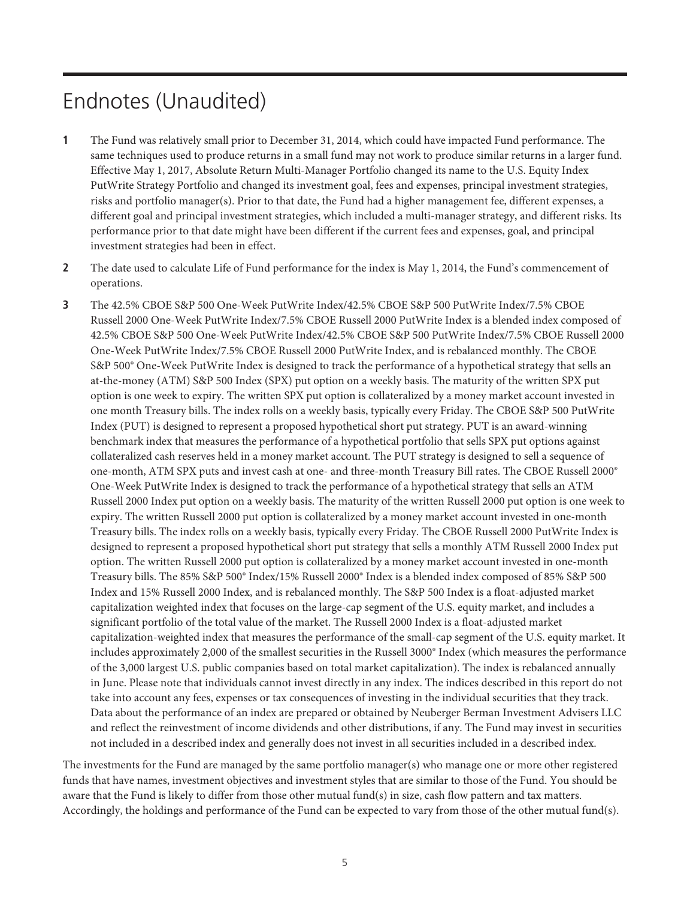## Endnotes (Unaudited)

- **1** The Fund was relatively small prior to December 31, 2014, which could have impacted Fund performance. The same techniques used to produce returns in a small fund may not work to produce similar returns in a larger fund. Effective May 1, 2017, Absolute Return Multi-Manager Portfolio changed its name to the U.S. Equity Index PutWrite Strategy Portfolio and changed its investment goal, fees and expenses, principal investment strategies, risks and portfolio manager(s). Prior to that date, the Fund had a higher management fee, different expenses, a different goal and principal investment strategies, which included a multi-manager strategy, and different risks. Its performance prior to that date might have been different if the current fees and expenses, goal, and principal investment strategies had been in effect.
- **2** The date used to calculate Life of Fund performance for the index is May 1, 2014, the Fund's commencement of operations.
- **3** The 42.5% CBOE S&P 500 One-Week PutWrite Index/42.5% CBOE S&P 500 PutWrite Index/7.5% CBOE Russell 2000 One-Week PutWrite Index/7.5% CBOE Russell 2000 PutWrite Index is a blended index composed of 42.5% CBOE S&P 500 One-Week PutWrite Index/42.5% CBOE S&P 500 PutWrite Index/7.5% CBOE Russell 2000 One-Week PutWrite Index/7.5% CBOE Russell 2000 PutWrite Index, and is rebalanced monthly. The CBOE S&P 500® One-Week PutWrite Index is designed to track the performance of a hypothetical strategy that sells an at-the-money (ATM) S&P 500 Index (SPX) put option on a weekly basis. The maturity of the written SPX put option is one week to expiry. The written SPX put option is collateralized by a money market account invested in one month Treasury bills. The index rolls on a weekly basis, typically every Friday. The CBOE S&P 500 PutWrite Index (PUT) is designed to represent a proposed hypothetical short put strategy. PUT is an award-winning benchmark index that measures the performance of a hypothetical portfolio that sells SPX put options against collateralized cash reserves held in a money market account. The PUT strategy is designed to sell a sequence of one-month, ATM SPX puts and invest cash at one- and three-month Treasury Bill rates. The CBOE Russell 2000® One-Week PutWrite Index is designed to track the performance of a hypothetical strategy that sells an ATM Russell 2000 Index put option on a weekly basis. The maturity of the written Russell 2000 put option is one week to expiry. The written Russell 2000 put option is collateralized by a money market account invested in one-month Treasury bills. The index rolls on a weekly basis, typically every Friday. The CBOE Russell 2000 PutWrite Index is designed to represent a proposed hypothetical short put strategy that sells a monthly ATM Russell 2000 Index put option. The written Russell 2000 put option is collateralized by a money market account invested in one-month Treasury bills. The 85% S&P 500® Index/15% Russell 2000® Index is a blended index composed of 85% S&P 500 Index and 15% Russell 2000 Index, and is rebalanced monthly. The S&P 500 Index is a float-adjusted market capitalization weighted index that focuses on the large-cap segment of the U.S. equity market, and includes a significant portfolio of the total value of the market. The Russell 2000 Index is a float-adjusted market capitalization-weighted index that measures the performance of the small-cap segment of the U.S. equity market. It includes approximately 2,000 of the smallest securities in the Russell 3000® Index (which measures the performance of the 3,000 largest U.S. public companies based on total market capitalization). The index is rebalanced annually in June. Please note that individuals cannot invest directly in any index. The indices described in this report do not take into account any fees, expenses or tax consequences of investing in the individual securities that they track. Data about the performance of an index are prepared or obtained by Neuberger Berman Investment Advisers LLC and reflect the reinvestment of income dividends and other distributions, if any. The Fund may invest in securities not included in a described index and generally does not invest in all securities included in a described index.

The investments for the Fund are managed by the same portfolio manager(s) who manage one or more other registered funds that have names, investment objectives and investment styles that are similar to those of the Fund. You should be aware that the Fund is likely to differ from those other mutual fund(s) in size, cash flow pattern and tax matters. Accordingly, the holdings and performance of the Fund can be expected to vary from those of the other mutual fund(s).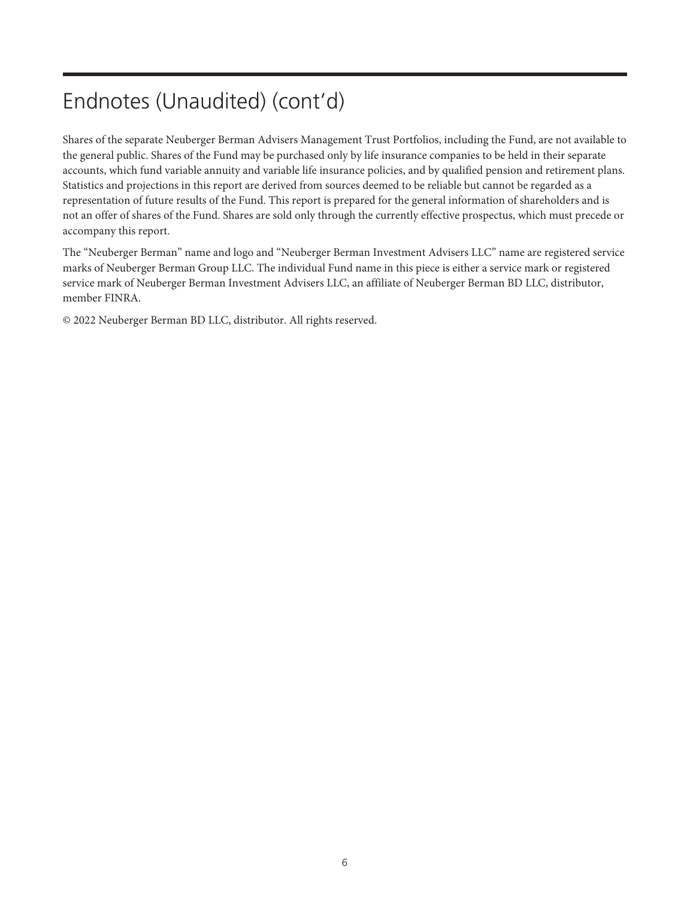## Endnotes (Unaudited) (cont'd)

Shares of the separate Neuberger Berman Advisers Management Trust Portfolios, including the Fund, are not available to the general public. Shares of the Fund may be purchased only by life insurance companies to be held in their separate accounts, which fund variable annuity and variable life insurance policies, and by qualified pension and retirement plans. Statistics and projections in this report are derived from sources deemed to be reliable but cannot be regarded as a representation of future results of the Fund. This report is prepared for the general information of shareholders and is not an offer of shares of the Fund. Shares are sold only through the currently effective prospectus, which must precede or accompany this report.

The "Neuberger Berman" name and logo and "Neuberger Berman Investment Advisers LLC" name are registered service marks of Neuberger Berman Group LLC. The individual Fund name in this piece is either a service mark or registered service mark of Neuberger Berman Investment Advisers LLC, an affiliate of Neuberger Berman BD LLC, distributor, member FINRA.

© 2022 Neuberger Berman BD LLC, distributor. All rights reserved.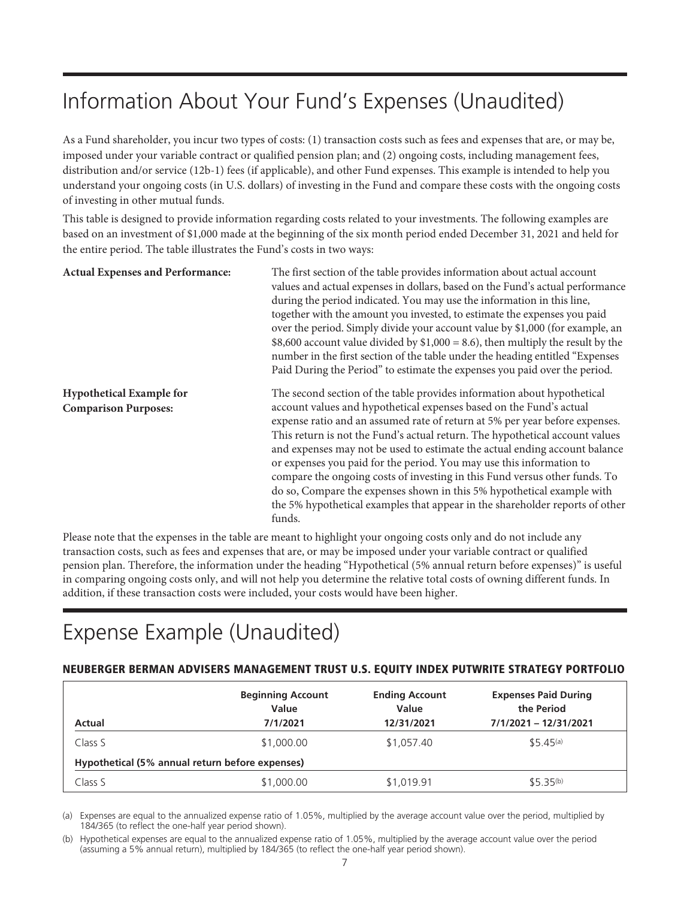## Information About Your Fund's Expenses (Unaudited)

As a Fund shareholder, you incur two types of costs: (1) transaction costs such as fees and expenses that are, or may be, imposed under your variable contract or qualified pension plan; and (2) ongoing costs, including management fees, distribution and/or service (12b-1) fees (if applicable), and other Fund expenses. This example is intended to help you understand your ongoing costs (in U.S. dollars) of investing in the Fund and compare these costs with the ongoing costs of investing in other mutual funds.

This table is designed to provide information regarding costs related to your investments. The following examples are based on an investment of \$1,000 made at the beginning of the six month period ended December 31, 2021 and held for the entire period. The table illustrates the Fund's costs in two ways:

**Actual Expenses and Performance:** The first section of the table provides information about actual account values and actual expenses in dollars, based on the Fund's actual performance during the period indicated. You may use the information in this line, together with the amount you invested, to estimate the expenses you paid over the period. Simply divide your account value by \$1,000 (for example, an \$8,600 account value divided by  $$1,000 = 8.6$ ), then multiply the result by the number in the first section of the table under the heading entitled "Expenses Paid During the Period" to estimate the expenses you paid over the period.

**Hypothetical Example for Comparison Purposes:**

The second section of the table provides information about hypothetical account values and hypothetical expenses based on the Fund's actual expense ratio and an assumed rate of return at 5% per year before expenses. This return is not the Fund's actual return. The hypothetical account values and expenses may not be used to estimate the actual ending account balance or expenses you paid for the period. You may use this information to compare the ongoing costs of investing in this Fund versus other funds. To do so, Compare the expenses shown in this 5% hypothetical example with the 5% hypothetical examples that appear in the shareholder reports of other funds.

Please note that the expenses in the table are meant to highlight your ongoing costs only and do not include any transaction costs, such as fees and expenses that are, or may be imposed under your variable contract or qualified pension plan. Therefore, the information under the heading "Hypothetical (5% annual return before expenses)" is useful in comparing ongoing costs only, and will not help you determine the relative total costs of owning different funds. In addition, if these transaction costs were included, your costs would have been higher.

## Expense Example (Unaudited)

### NEUBERGER BERMAN ADVISERS MANAGEMENT TRUST U.S. EQUITY INDEX PUTWRITE STRATEGY PORTFOLIO

| Actual                                          | <b>Beginning Account</b><br>Value<br>7/1/2021 | <b>Ending Account</b><br>Value<br>12/31/2021 | <b>Expenses Paid During</b><br>the Period<br>7/1/2021 - 12/31/2021 |
|-------------------------------------------------|-----------------------------------------------|----------------------------------------------|--------------------------------------------------------------------|
| Class S                                         | \$1,000.00                                    | \$1,057.40                                   | $$5.45$ (a)                                                        |
| Hypothetical (5% annual return before expenses) |                                               |                                              |                                                                    |
| Class S                                         | \$1,000.00                                    | \$1,019.91                                   | \$5.35 <sub>(b)</sub>                                              |

(a) Expenses are equal to the annualized expense ratio of 1.05%, multiplied by the average account value over the period, multiplied by 184/365 (to reflect the one-half year period shown).

(b) Hypothetical expenses are equal to the annualized expense ratio of 1.05%, multiplied by the average account value over the period (assuming a 5% annual return), multiplied by 184/365 (to reflect the one-half year period shown).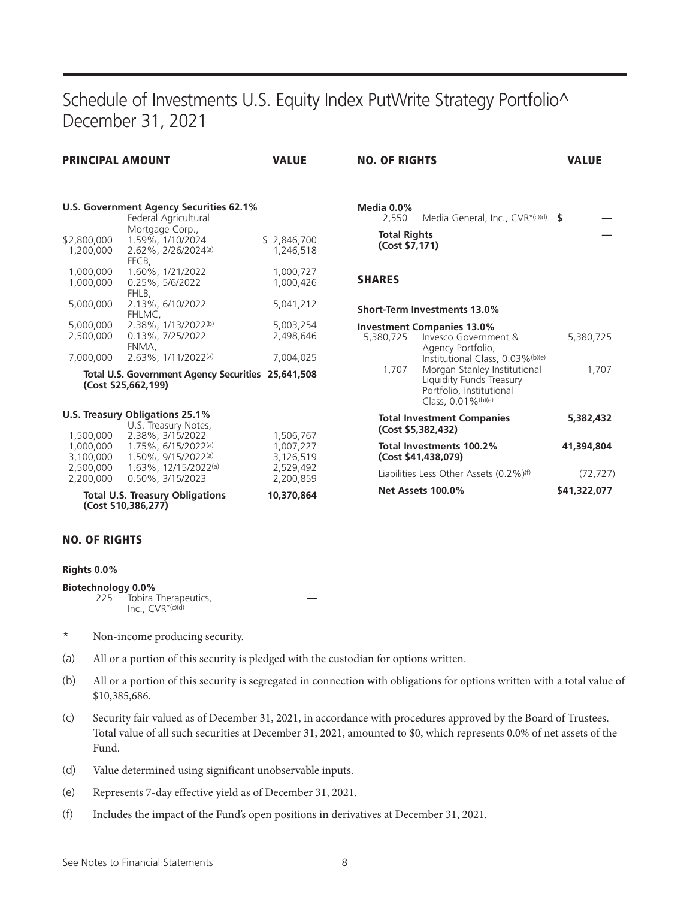## Schedule of Investments U.S. Equity Index PutWrite Strategy Portfolio^ December 31, 2021

| <b>PRINCIPAL AMOUNT</b>  |                                                                                    | <b>VALUE</b>             | <b>NO. OF RIGHTS</b>                                                                                                 | <b>VALUE</b> |
|--------------------------|------------------------------------------------------------------------------------|--------------------------|----------------------------------------------------------------------------------------------------------------------|--------------|
|                          | U.S. Government Agency Securities 62.1%<br>Federal Agricultural<br>Mortgage Corp., |                          | Media 0.0%<br>Media General, Inc., $CVR^{*(c)(d)}$ \$<br>2.550                                                       |              |
| \$2,800,000<br>1,200,000 | 1.59%, 1/10/2024<br>2.62%, 2/26/2024(a)<br>FFCB,                                   | \$2.846.700<br>1,246,518 | <b>Total Rights</b><br>(Cost \$7,171)                                                                                |              |
| 1,000,000<br>1,000,000   | 1.60%, 1/21/2022<br>0.25%, 5/6/2022<br>FHLB,                                       | 1,000,727<br>1,000,426   | <b>SHARES</b>                                                                                                        |              |
| 5,000,000                | 2.13%, 6/10/2022<br>FHLMC.                                                         | 5,041,212                | <b>Short-Term Investments 13.0%</b>                                                                                  |              |
| 5,000,000<br>2,500,000   | 2.38%, 1/13/2022 <sup>(b)</sup><br>0.13%, 7/25/2022<br>FNMA,                       | 5,003,254<br>2,498,646   | <b>Investment Companies 13.0%</b><br>5,380,725<br>Invesco Government &<br>Agency Portfolio,                          | 5,380,725    |
| 7,000,000                | 2.63%, 1/11/2022(a)                                                                | 7,004,025                | Institutional Class, 0.03% (b)(e)                                                                                    |              |
|                          | Total U.S. Government Agency Securities 25,641,508<br>(Cost \$25,662,199)          |                          | Morgan Stanley Institutional<br>1.707<br>Liquidity Funds Treasury<br>Portfolio, Institutional<br>Class, 0.01% (b)(e) | 1.707        |
|                          | U.S. Treasury Obligations 25.1%<br>U.S. Treasury Notes,                            |                          | <b>Total Investment Companies</b>                                                                                    | 5,382,432    |
| 1,500,000                | 2.38%, 3/15/2022                                                                   | 1,506,767                | (Cost \$5,382,432)                                                                                                   |              |
| 1,000,000<br>3,100,000   | 1.75%, 6/15/2022(a)<br>1.50%, 9/15/2022(a)                                         | 1,007,227<br>3,126,519   | Total Investments 100.2%<br>(Cost \$41,438,079)                                                                      | 41,394,804   |
| 2,500,000<br>2,200,000   | 1.63%, 12/15/2022(a)<br>0.50%, 3/15/2023                                           | 2,529,492<br>2,200,859   | Liabilities Less Other Assets (0.2%) <sup>(f)</sup>                                                                  | (72, 727)    |
|                          | <b>Total U.S. Treasury Obligations</b><br>(Cost \$10,386,277)                      | 10,370,864               | Net Assets 100.0%                                                                                                    | \$41,322,077 |

#### NO. OF RIGHTS

#### **Rights 0.0%**

| <b>Biotechnology 0.0%</b> |                      |  |
|---------------------------|----------------------|--|
|                           | OOF Takisa Thomasauk |  |

225 Tobira Therapeutics, Inc., CVR\*(c)(d)

- \* Non-income producing security.
- (a) All or a portion of this security is pledged with the custodian for options written.
- (b) All or a portion of this security is segregated in connection with obligations for options written with a total value of \$10,385,686.
- (c) Security fair valued as of December 31, 2021, in accordance with procedures approved by the Board of Trustees. Total value of all such securities at December 31, 2021, amounted to \$0, which represents 0.0% of net assets of the Fund.
- (d) Value determined using significant unobservable inputs.
- (e) Represents 7-day effective yield as of December 31, 2021.
- (f) Includes the impact of the Fund's open positions in derivatives at December 31, 2021.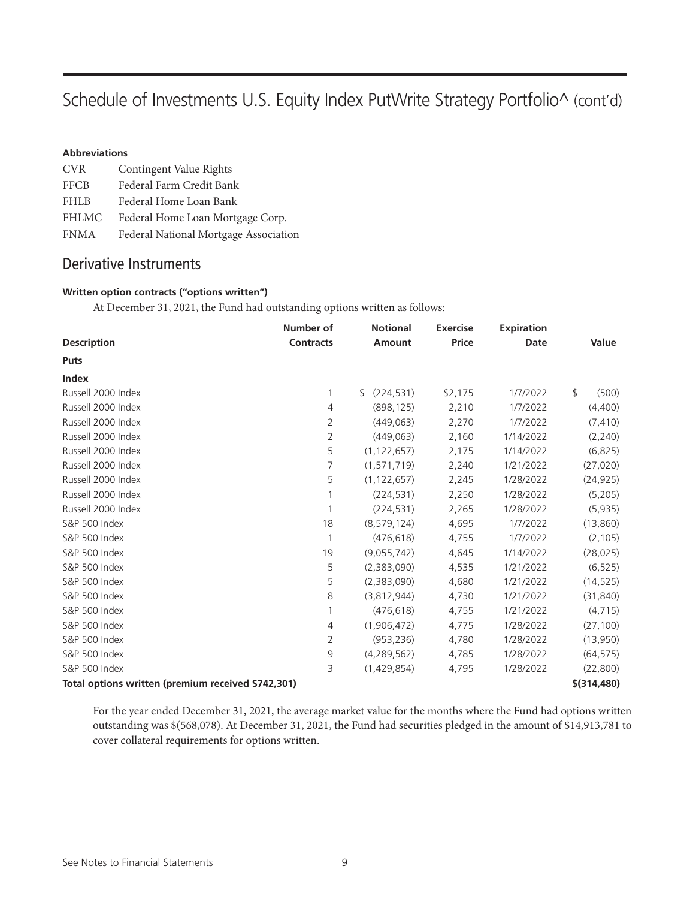## Schedule of Investments U.S. Equity Index PutWrite Strategy Portfolio^ (cont'd)

#### **Abbreviations**

| <b>CVR</b>   | Contingent Value Rights               |
|--------------|---------------------------------------|
| <b>FFCB</b>  | Federal Farm Credit Bank              |
| <b>FHLB</b>  | Federal Home Loan Bank                |
| <b>FHLMC</b> | Federal Home Loan Mortgage Corp.      |
| <b>FNMA</b>  | Federal National Mortgage Association |

### Derivative Instruments

#### **Written option contracts ("options written")**

At December 31, 2021, the Fund had outstanding options written as follows:

|                                                    | Number of        | <b>Notional</b>  | <b>Exercise</b> | <b>Expiration</b> |               |
|----------------------------------------------------|------------------|------------------|-----------------|-------------------|---------------|
| <b>Description</b>                                 | <b>Contracts</b> | <b>Amount</b>    | <b>Price</b>    | Date              | Value         |
| <b>Puts</b>                                        |                  |                  |                 |                   |               |
| Index                                              |                  |                  |                 |                   |               |
| Russell 2000 Index                                 | 1                | (224, 531)<br>S. | \$2,175         | 1/7/2022          | \$<br>(500)   |
| Russell 2000 Index                                 | 4                | (898, 125)       | 2,210           | 1/7/2022          | (4,400)       |
| Russell 2000 Index                                 | 2                | (449, 063)       | 2,270           | 1/7/2022          | (7, 410)      |
| Russell 2000 Index                                 | 2                | (449, 063)       | 2,160           | 1/14/2022         | (2, 240)      |
| Russell 2000 Index                                 | 5                | (1, 122, 657)    | 2,175           | 1/14/2022         | (6,825)       |
| Russell 2000 Index                                 | 7                | (1, 571, 719)    | 2,240           | 1/21/2022         | (27,020)      |
| Russell 2000 Index                                 | 5                | (1, 122, 657)    | 2,245           | 1/28/2022         | (24, 925)     |
| Russell 2000 Index                                 |                  | (224, 531)       | 2,250           | 1/28/2022         | (5,205)       |
| Russell 2000 Index                                 | 1                | (224, 531)       | 2,265           | 1/28/2022         | (5,935)       |
| S&P 500 Index                                      | 18               | (8, 579, 124)    | 4,695           | 1/7/2022          | (13,860)      |
| S&P 500 Index                                      | 1                | (476, 618)       | 4,755           | 1/7/2022          | (2, 105)      |
| S&P 500 Index                                      | 19               | (9,055,742)      | 4,645           | 1/14/2022         | (28, 025)     |
| S&P 500 Index                                      | 5                | (2,383,090)      | 4,535           | 1/21/2022         | (6, 525)      |
| S&P 500 Index                                      | 5                | (2,383,090)      | 4,680           | 1/21/2022         | (14, 525)     |
| S&P 500 Index                                      | 8                | (3,812,944)      | 4,730           | 1/21/2022         | (31, 840)     |
| S&P 500 Index                                      | 1                | (476, 618)       | 4,755           | 1/21/2022         | (4, 715)      |
| S&P 500 Index                                      | 4                | (1,906,472)      | 4,775           | 1/28/2022         | (27, 100)     |
| S&P 500 Index                                      | 2                | (953, 236)       | 4,780           | 1/28/2022         | (13,950)      |
| S&P 500 Index                                      | 9                | (4,289,562)      | 4,785           | 1/28/2022         | (64, 575)     |
| S&P 500 Index                                      | 3                | (1,429,854)      | 4,795           | 1/28/2022         | (22,800)      |
| Total options written (premium received \$742,301) |                  |                  |                 |                   | $$$ (314,480) |

For the year ended December 31, 2021, the average market value for the months where the Fund had options written outstanding was \$(568,078). At December 31, 2021, the Fund had securities pledged in the amount of \$14,913,781 to cover collateral requirements for options written.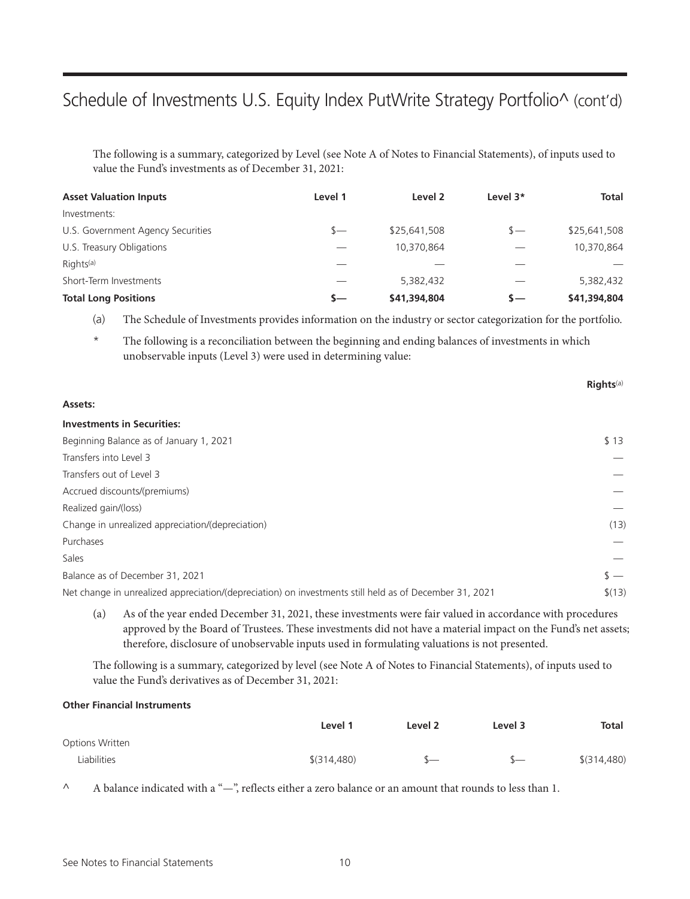## Schedule of Investments U.S. Equity Index PutWrite Strategy Portfolio^ (cont'd)

The following is a summary, categorized by Level (see Note A of Notes to Financial Statements), of inputs used to value the Fund's investments as of December 31, 2021:

| <b>Asset Valuation Inputs</b>     | Level 1 | Level 2      | Level 3*       | <b>Total</b> |
|-----------------------------------|---------|--------------|----------------|--------------|
| Investments:                      |         |              |                |              |
| U.S. Government Agency Securities | $S-$    | \$25,641,508 | $\mathcal{S}-$ | \$25,641,508 |
| U.S. Treasury Obligations         |         | 10.370.864   |                | 10,370,864   |
| Rights <sup>(a)</sup>             |         |              |                |              |
| Short-Term Investments            |         | 5.382.432    |                | 5.382.432    |
| <b>Total Long Positions</b>       | s—      | \$41,394,804 | s —            | \$41,394,804 |

(a) The Schedule of Investments provides information on the industry or sector categorization for the portfolio.

\* The following is a reconciliation between the beginning and ending balances of investments in which unobservable inputs (Level 3) were used in determining value:

|                                                                                                        | $Right(a)$     |
|--------------------------------------------------------------------------------------------------------|----------------|
| Assets:                                                                                                |                |
| <b>Investments in Securities:</b>                                                                      |                |
| Beginning Balance as of January 1, 2021                                                                | \$13           |
| Transfers into Level 3                                                                                 |                |
| Transfers out of Level 3                                                                               |                |
| Accrued discounts/(premiums)                                                                           |                |
| Realized gain/(loss)                                                                                   |                |
| Change in unrealized appreciation/(depreciation)                                                       | (13)           |
| Purchases                                                                                              |                |
| Sales                                                                                                  |                |
| Balance as of December 31, 2021                                                                        | $\mathsf{s}$ — |
| Net change in unrealized appreciation/(depreciation) on investments still held as of December 31, 2021 | \$(13)         |

(a) As of the year ended December 31, 2021, these investments were fair valued in accordance with procedures approved by the Board of Trustees. These investments did not have a material impact on the Fund's net assets; therefore, disclosure of unobservable inputs used in formulating valuations is not presented.

The following is a summary, categorized by level (see Note A of Notes to Financial Statements), of inputs used to value the Fund's derivatives as of December 31, 2021:

#### **Other Financial Instruments**

|                 | Level 1       | Level 2 | Level 3      | Total         |
|-----------------|---------------|---------|--------------|---------------|
| Options Written |               |         |              |               |
| Liabilities     | $$$ (314,480) | $\sim$  | $\leftarrow$ | $$$ (314,480) |

 $\wedge$  A balance indicated with a " $\rightarrow$ ", reflects either a zero balance or an amount that rounds to less than 1.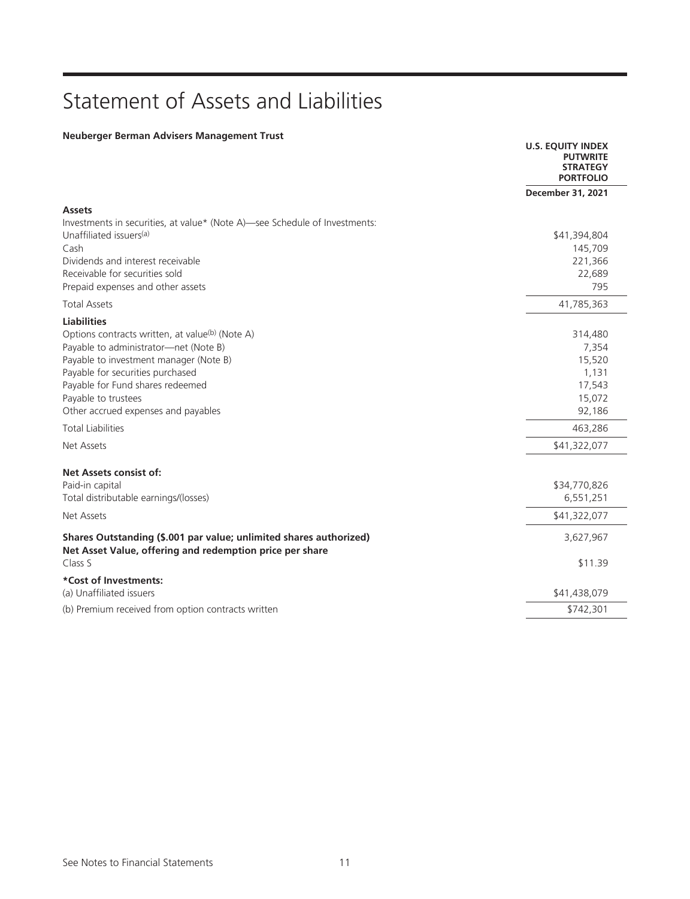## Statement of Assets and Liabilities

| <b>Neuberger Berman Advisers Management Trust</b>                                                                                                                                                                                                                                                                          | <b>U.S. EQUITY INDEX</b><br><b>PUTWRITE</b><br><b>STRATEGY</b><br><b>PORTFOLIO</b> |
|----------------------------------------------------------------------------------------------------------------------------------------------------------------------------------------------------------------------------------------------------------------------------------------------------------------------------|------------------------------------------------------------------------------------|
|                                                                                                                                                                                                                                                                                                                            | December 31, 2021                                                                  |
| <b>Assets</b><br>Investments in securities, at value* (Note A)—see Schedule of Investments:<br>Unaffiliated issuers <sup>(a)</sup><br>Cash<br>Dividends and interest receivable<br>Receivable for securities sold<br>Prepaid expenses and other assets                                                                     | \$41,394,804<br>145,709<br>221,366<br>22,689<br>795                                |
| <b>Total Assets</b>                                                                                                                                                                                                                                                                                                        | 41,785,363                                                                         |
| <b>Liabilities</b><br>Options contracts written, at value(b) (Note A)<br>Payable to administrator-net (Note B)<br>Payable to investment manager (Note B)<br>Payable for securities purchased<br>Payable for Fund shares redeemed<br>Payable to trustees<br>Other accrued expenses and payables<br><b>Total Liabilities</b> | 314,480<br>7,354<br>15,520<br>1,131<br>17,543<br>15,072<br>92,186<br>463,286       |
| Net Assets                                                                                                                                                                                                                                                                                                                 | \$41,322,077                                                                       |
| Net Assets consist of:<br>Paid-in capital<br>Total distributable earnings/(losses)                                                                                                                                                                                                                                         | \$34,770,826<br>6,551,251                                                          |
| Net Assets                                                                                                                                                                                                                                                                                                                 | \$41,322,077                                                                       |
| Shares Outstanding (\$.001 par value; unlimited shares authorized)<br>Net Asset Value, offering and redemption price per share<br>Class S                                                                                                                                                                                  | 3,627,967<br>\$11.39                                                               |
| *Cost of Investments:<br>(a) Unaffiliated issuers                                                                                                                                                                                                                                                                          | \$41,438,079                                                                       |
| (b) Premium received from option contracts written                                                                                                                                                                                                                                                                         | \$742,301                                                                          |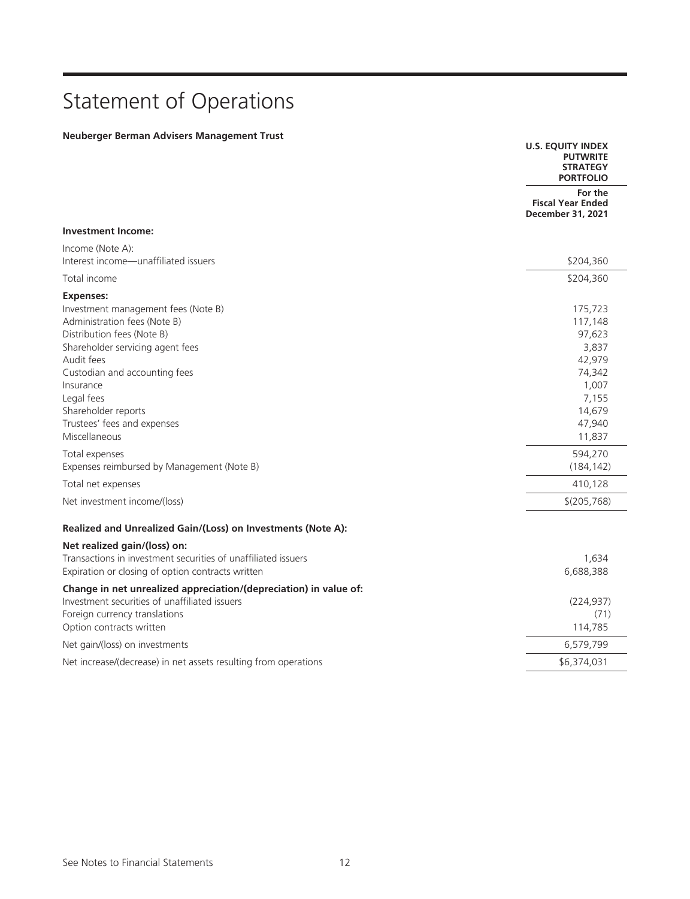# Statement of Operations

### **Neuberger Berman Advisers Management Trust**

|                                                                                                                                                                                                                                                                                                            | <b>U.S. EQUITY INDEX</b><br><b>PUTWRITE</b><br><b>STRATEGY</b><br><b>PORTFOLIO</b>                        |
|------------------------------------------------------------------------------------------------------------------------------------------------------------------------------------------------------------------------------------------------------------------------------------------------------------|-----------------------------------------------------------------------------------------------------------|
|                                                                                                                                                                                                                                                                                                            | For the<br><b>Fiscal Year Ended</b><br>December 31, 2021                                                  |
| <b>Investment Income:</b>                                                                                                                                                                                                                                                                                  |                                                                                                           |
| Income (Note A):<br>Interest income-unaffiliated issuers                                                                                                                                                                                                                                                   | \$204,360                                                                                                 |
| Total income                                                                                                                                                                                                                                                                                               | \$204,360                                                                                                 |
| <b>Expenses:</b><br>Investment management fees (Note B)<br>Administration fees (Note B)<br>Distribution fees (Note B)<br>Shareholder servicing agent fees<br>Audit fees<br>Custodian and accounting fees<br>Insurance<br>Legal fees<br>Shareholder reports<br>Trustees' fees and expenses<br>Miscellaneous | 175,723<br>117,148<br>97,623<br>3,837<br>42,979<br>74,342<br>1,007<br>7,155<br>14,679<br>47,940<br>11,837 |
| Total expenses<br>Expenses reimbursed by Management (Note B)                                                                                                                                                                                                                                               | 594,270<br>(184, 142)                                                                                     |
| Total net expenses                                                                                                                                                                                                                                                                                         | 410,128                                                                                                   |
| Net investment income/(loss)                                                                                                                                                                                                                                                                               | \$(205, 768)                                                                                              |
| Realized and Unrealized Gain/(Loss) on Investments (Note A):<br>Net realized gain/(loss) on:<br>Transactions in investment securities of unaffiliated issuers                                                                                                                                              | 1,634                                                                                                     |
| Expiration or closing of option contracts written                                                                                                                                                                                                                                                          | 6,688,388                                                                                                 |
| Change in net unrealized appreciation/(depreciation) in value of:<br>Investment securities of unaffiliated issuers<br>Foreign currency translations<br>Option contracts written                                                                                                                            | (224, 937)<br>(71)<br>114,785                                                                             |
| Net gain/(loss) on investments                                                                                                                                                                                                                                                                             | 6,579,799                                                                                                 |
| Net increase/(decrease) in net assets resulting from operations                                                                                                                                                                                                                                            | \$6,374,031                                                                                               |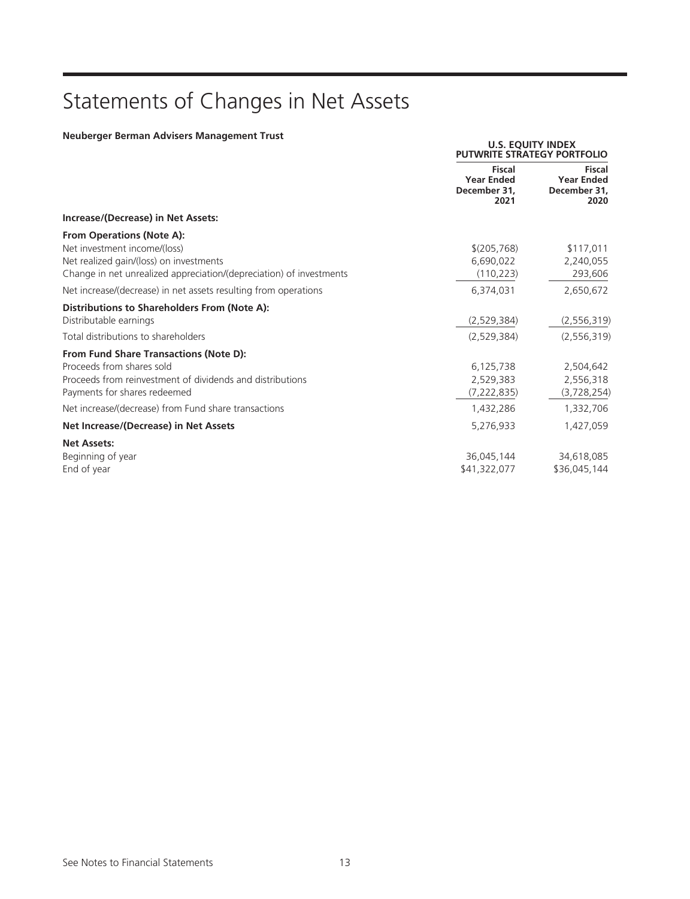## Statements of Changes in Net Assets

### **Neuberger Berman Advisers Management Trust**

|                                                                                                                                                                                    | <b>U.S. EQUITY INDEX</b><br>PUTWRITE STRATEGY PORTFOLIO    |                                                            |  |
|------------------------------------------------------------------------------------------------------------------------------------------------------------------------------------|------------------------------------------------------------|------------------------------------------------------------|--|
|                                                                                                                                                                                    | <b>Fiscal</b><br><b>Year Ended</b><br>December 31,<br>2021 | <b>Fiscal</b><br><b>Year Ended</b><br>December 31,<br>2020 |  |
| Increase/(Decrease) in Net Assets:                                                                                                                                                 |                                                            |                                                            |  |
| <b>From Operations (Note A):</b><br>Net investment income/(loss)<br>Net realized gain/(loss) on investments<br>Change in net unrealized appreciation/(depreciation) of investments | \$(205,768)<br>6,690,022<br>(110, 223)                     | \$117,011<br>2,240,055<br>293,606                          |  |
| Net increase/(decrease) in net assets resulting from operations                                                                                                                    | 6,374,031                                                  | 2,650,672                                                  |  |
| <b>Distributions to Shareholders From (Note A):</b><br>Distributable earnings<br>Total distributions to shareholders                                                               | (2,529,384)<br>(2,529,384)                                 | (2, 556, 319)<br>(2, 556, 319)                             |  |
| <b>From Fund Share Transactions (Note D):</b><br>Proceeds from shares sold<br>Proceeds from reinvestment of dividends and distributions<br>Payments for shares redeemed            | 6,125,738<br>2,529,383<br>(7,222,835)                      | 2,504,642<br>2,556,318<br>(3,728,254)                      |  |
| Net increase/(decrease) from Fund share transactions                                                                                                                               | 1,432,286                                                  | 1,332,706                                                  |  |
| Net Increase/(Decrease) in Net Assets                                                                                                                                              | 5,276,933                                                  | 1,427,059                                                  |  |
| <b>Net Assets:</b><br>Beginning of year<br>End of year                                                                                                                             | 36,045,144<br>\$41,322,077                                 | 34,618,085<br>\$36,045,144                                 |  |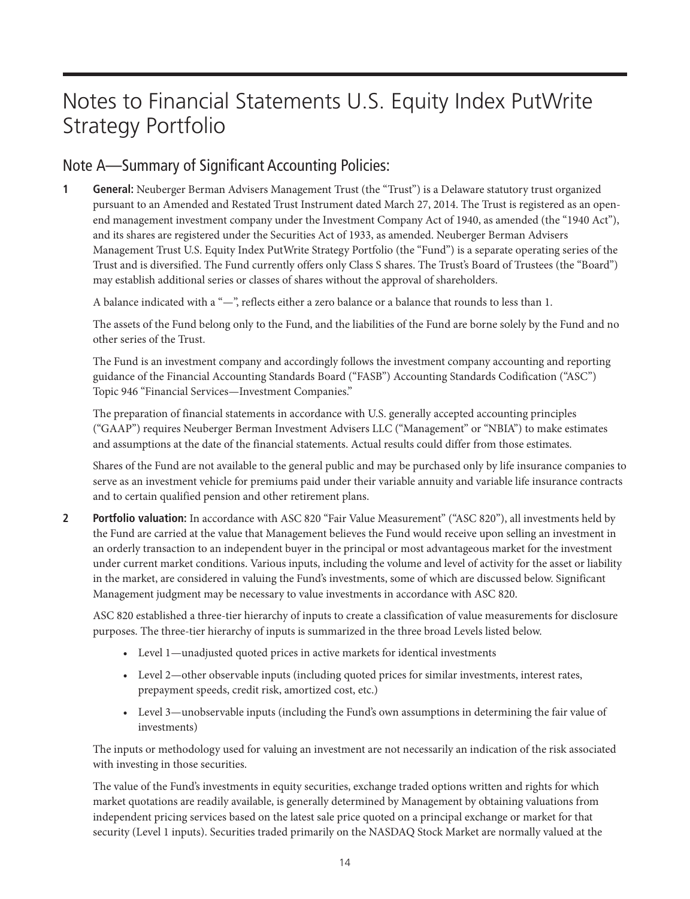## Notes to Financial Statements U.S. Equity Index PutWrite Strategy Portfolio

## Note A—Summary of Significant Accounting Policies:

**1 General:** Neuberger Berman Advisers Management Trust (the "Trust") is a Delaware statutory trust organized pursuant to an Amended and Restated Trust Instrument dated March 27, 2014. The Trust is registered as an openend management investment company under the Investment Company Act of 1940, as amended (the "1940 Act"), and its shares are registered under the Securities Act of 1933, as amended. Neuberger Berman Advisers Management Trust U.S. Equity Index PutWrite Strategy Portfolio (the "Fund") is a separate operating series of the Trust and is diversified. The Fund currently offers only Class S shares. The Trust's Board of Trustees (the "Board") may establish additional series or classes of shares without the approval of shareholders.

A balance indicated with a "—", reflects either a zero balance or a balance that rounds to less than 1.

The assets of the Fund belong only to the Fund, and the liabilities of the Fund are borne solely by the Fund and no other series of the Trust.

The Fund is an investment company and accordingly follows the investment company accounting and reporting guidance of the Financial Accounting Standards Board ("FASB") Accounting Standards Codification ("ASC") Topic 946 "Financial Services—Investment Companies."

The preparation of financial statements in accordance with U.S. generally accepted accounting principles ("GAAP") requires Neuberger Berman Investment Advisers LLC ("Management" or "NBIA") to make estimates and assumptions at the date of the financial statements. Actual results could differ from those estimates.

Shares of the Fund are not available to the general public and may be purchased only by life insurance companies to serve as an investment vehicle for premiums paid under their variable annuity and variable life insurance contracts and to certain qualified pension and other retirement plans.

**2 Portfolio valuation:** In accordance with ASC 820 "Fair Value Measurement" ("ASC 820"), all investments held by the Fund are carried at the value that Management believes the Fund would receive upon selling an investment in an orderly transaction to an independent buyer in the principal or most advantageous market for the investment under current market conditions. Various inputs, including the volume and level of activity for the asset or liability in the market, are considered in valuing the Fund's investments, some of which are discussed below. Significant Management judgment may be necessary to value investments in accordance with ASC 820.

ASC 820 established a three-tier hierarchy of inputs to create a classification of value measurements for disclosure purposes. The three-tier hierarchy of inputs is summarized in the three broad Levels listed below.

- Level 1—unadjusted quoted prices in active markets for identical investments
- Level 2—other observable inputs (including quoted prices for similar investments, interest rates, prepayment speeds, credit risk, amortized cost, etc.)
- Level 3—unobservable inputs (including the Fund's own assumptions in determining the fair value of investments)

The inputs or methodology used for valuing an investment are not necessarily an indication of the risk associated with investing in those securities.

The value of the Fund's investments in equity securities, exchange traded options written and rights for which market quotations are readily available, is generally determined by Management by obtaining valuations from independent pricing services based on the latest sale price quoted on a principal exchange or market for that security (Level 1 inputs). Securities traded primarily on the NASDAQ Stock Market are normally valued at the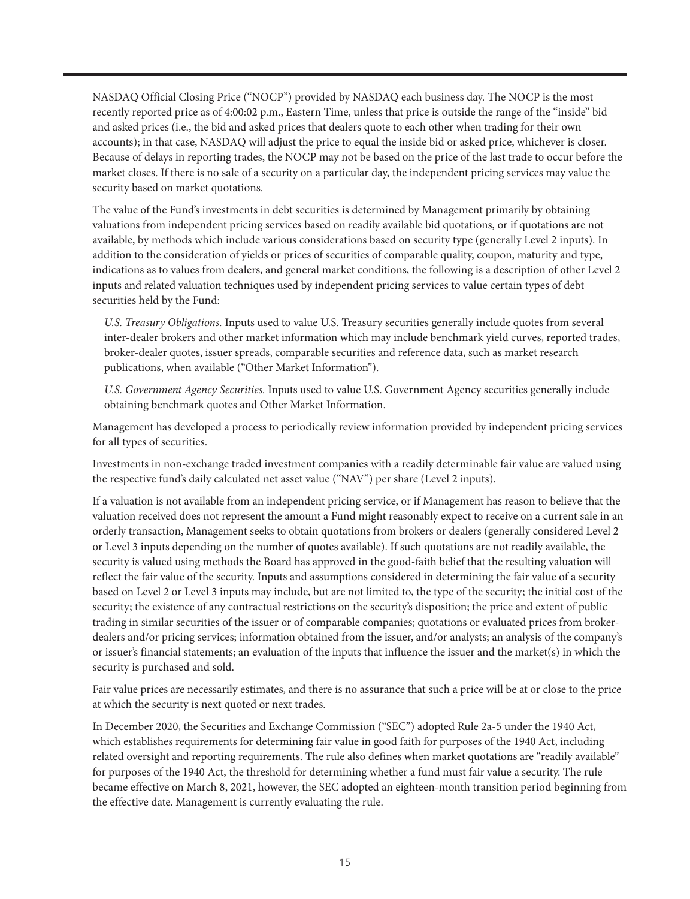NASDAQ Official Closing Price ("NOCP") provided by NASDAQ each business day. The NOCP is the most recently reported price as of 4:00:02 p.m., Eastern Time, unless that price is outside the range of the "inside" bid and asked prices (i.e., the bid and asked prices that dealers quote to each other when trading for their own accounts); in that case, NASDAQ will adjust the price to equal the inside bid or asked price, whichever is closer. Because of delays in reporting trades, the NOCP may not be based on the price of the last trade to occur before the market closes. If there is no sale of a security on a particular day, the independent pricing services may value the security based on market quotations.

The value of the Fund's investments in debt securities is determined by Management primarily by obtaining valuations from independent pricing services based on readily available bid quotations, or if quotations are not available, by methods which include various considerations based on security type (generally Level 2 inputs). In addition to the consideration of yields or prices of securities of comparable quality, coupon, maturity and type, indications as to values from dealers, and general market conditions, the following is a description of other Level 2 inputs and related valuation techniques used by independent pricing services to value certain types of debt securities held by the Fund:

*U.S. Treasury Obligations.* Inputs used to value U.S. Treasury securities generally include quotes from several inter-dealer brokers and other market information which may include benchmark yield curves, reported trades, broker-dealer quotes, issuer spreads, comparable securities and reference data, such as market research publications, when available ("Other Market Information").

*U.S. Government Agency Securities.* Inputs used to value U.S. Government Agency securities generally include obtaining benchmark quotes and Other Market Information.

Management has developed a process to periodically review information provided by independent pricing services for all types of securities.

Investments in non-exchange traded investment companies with a readily determinable fair value are valued using the respective fund's daily calculated net asset value ("NAV") per share (Level 2 inputs).

If a valuation is not available from an independent pricing service, or if Management has reason to believe that the valuation received does not represent the amount a Fund might reasonably expect to receive on a current sale in an orderly transaction, Management seeks to obtain quotations from brokers or dealers (generally considered Level 2 or Level 3 inputs depending on the number of quotes available). If such quotations are not readily available, the security is valued using methods the Board has approved in the good-faith belief that the resulting valuation will reflect the fair value of the security. Inputs and assumptions considered in determining the fair value of a security based on Level 2 or Level 3 inputs may include, but are not limited to, the type of the security; the initial cost of the security; the existence of any contractual restrictions on the security's disposition; the price and extent of public trading in similar securities of the issuer or of comparable companies; quotations or evaluated prices from brokerdealers and/or pricing services; information obtained from the issuer, and/or analysts; an analysis of the company's or issuer's financial statements; an evaluation of the inputs that influence the issuer and the market(s) in which the security is purchased and sold.

Fair value prices are necessarily estimates, and there is no assurance that such a price will be at or close to the price at which the security is next quoted or next trades.

In December 2020, the Securities and Exchange Commission ("SEC") adopted Rule 2a-5 under the 1940 Act, which establishes requirements for determining fair value in good faith for purposes of the 1940 Act, including related oversight and reporting requirements. The rule also defines when market quotations are "readily available" for purposes of the 1940 Act, the threshold for determining whether a fund must fair value a security. The rule became effective on March 8, 2021, however, the SEC adopted an eighteen-month transition period beginning from the effective date. Management is currently evaluating the rule.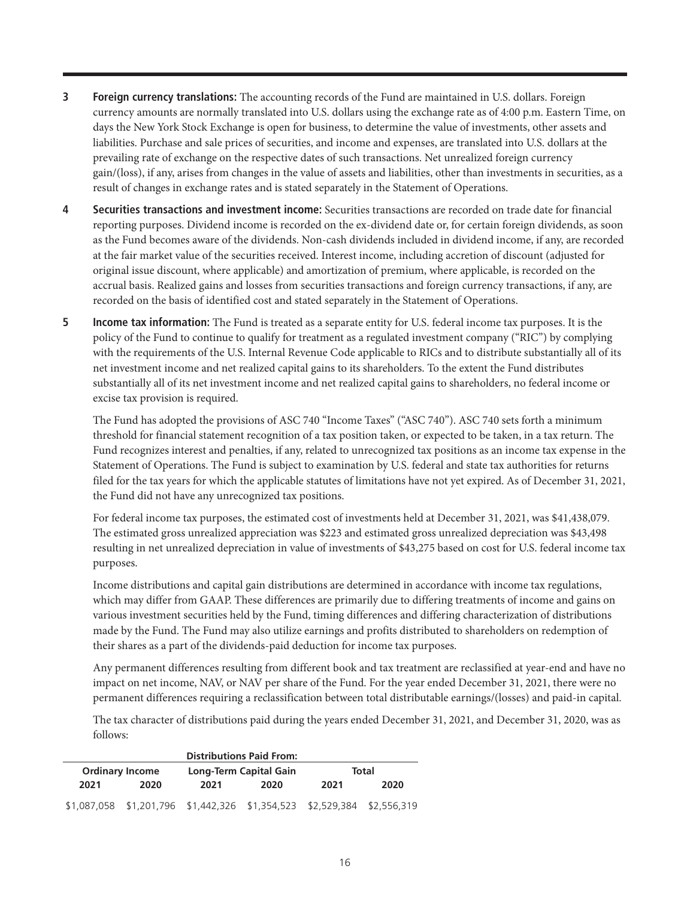- **3 Foreign currency translations:** The accounting records of the Fund are maintained in U.S. dollars. Foreign currency amounts are normally translated into U.S. dollars using the exchange rate as of 4:00 p.m. Eastern Time, on days the New York Stock Exchange is open for business, to determine the value of investments, other assets and liabilities. Purchase and sale prices of securities, and income and expenses, are translated into U.S. dollars at the prevailing rate of exchange on the respective dates of such transactions. Net unrealized foreign currency gain/(loss), if any, arises from changes in the value of assets and liabilities, other than investments in securities, as a result of changes in exchange rates and is stated separately in the Statement of Operations.
- **4 Securities transactions and investment income:** Securities transactions are recorded on trade date for financial reporting purposes. Dividend income is recorded on the ex-dividend date or, for certain foreign dividends, as soon as the Fund becomes aware of the dividends. Non-cash dividends included in dividend income, if any, are recorded at the fair market value of the securities received. Interest income, including accretion of discount (adjusted for original issue discount, where applicable) and amortization of premium, where applicable, is recorded on the accrual basis. Realized gains and losses from securities transactions and foreign currency transactions, if any, are recorded on the basis of identified cost and stated separately in the Statement of Operations.
- **5** Income tax information: The Fund is treated as a separate entity for U.S. federal income tax purposes. It is the policy of the Fund to continue to qualify for treatment as a regulated investment company ("RIC") by complying with the requirements of the U.S. Internal Revenue Code applicable to RICs and to distribute substantially all of its net investment income and net realized capital gains to its shareholders. To the extent the Fund distributes substantially all of its net investment income and net realized capital gains to shareholders, no federal income or excise tax provision is required.

The Fund has adopted the provisions of ASC 740 "Income Taxes" ("ASC 740"). ASC 740 sets forth a minimum threshold for financial statement recognition of a tax position taken, or expected to be taken, in a tax return. The Fund recognizes interest and penalties, if any, related to unrecognized tax positions as an income tax expense in the Statement of Operations. The Fund is subject to examination by U.S. federal and state tax authorities for returns filed for the tax years for which the applicable statutes of limitations have not yet expired. As of December 31, 2021, the Fund did not have any unrecognized tax positions.

For federal income tax purposes, the estimated cost of investments held at December 31, 2021, was \$41,438,079. The estimated gross unrealized appreciation was \$223 and estimated gross unrealized depreciation was \$43,498 resulting in net unrealized depreciation in value of investments of \$43,275 based on cost for U.S. federal income tax purposes.

Income distributions and capital gain distributions are determined in accordance with income tax regulations, which may differ from GAAP. These differences are primarily due to differing treatments of income and gains on various investment securities held by the Fund, timing differences and differing characterization of distributions made by the Fund. The Fund may also utilize earnings and profits distributed to shareholders on redemption of their shares as a part of the dividends-paid deduction for income tax purposes.

Any permanent differences resulting from different book and tax treatment are reclassified at year-end and have no impact on net income, NAV, or NAV per share of the Fund. For the year ended December 31, 2021, there were no permanent differences requiring a reclassification between total distributable earnings/(losses) and paid-in capital.

The tax character of distributions paid during the years ended December 31, 2021, and December 31, 2020, was as follows:

| <b>Distributions Paid From:</b> |                                                                         |      |                        |      |       |  |
|---------------------------------|-------------------------------------------------------------------------|------|------------------------|------|-------|--|
|                                 | <b>Ordinary Income</b>                                                  |      | Long-Term Capital Gain |      | Total |  |
| 2021                            | 2020                                                                    | 2021 | 2020                   | 2021 | 2020  |  |
|                                 | \$1,087,058 \$1,201,796 \$1,442,326 \$1,354,523 \$2,529,384 \$2,556,319 |      |                        |      |       |  |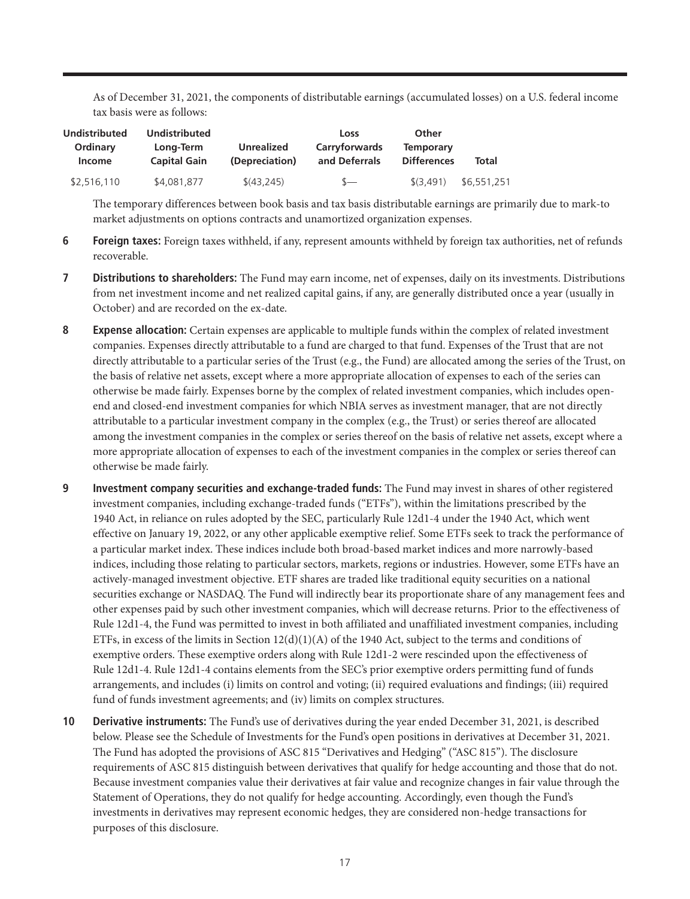As of December 31, 2021, the components of distributable earnings (accumulated losses) on a U.S. federal income tax basis were as follows:

| <b>Undistributed</b><br>Ordinary | <b>Undistributed</b><br>Long-Term | Unrealized     | Loss<br>Carryforwards | Other<br><b>Temporary</b> |             |
|----------------------------------|-----------------------------------|----------------|-----------------------|---------------------------|-------------|
| <b>Income</b>                    | <b>Capital Gain</b>               | (Depreciation) | and Deferrals         | <b>Differences</b>        | Total       |
| \$2,516,110                      | \$4,081,877                       | (43.245)       | $\sim$                | (3.491)                   | \$6,551,251 |

The temporary differences between book basis and tax basis distributable earnings are primarily due to mark-to market adjustments on options contracts and unamortized organization expenses.

- **6 Foreign taxes:** Foreign taxes withheld, if any, represent amounts withheld by foreign tax authorities, net of refunds recoverable.
- **7 Distributions to shareholders:** The Fund may earn income, net of expenses, daily on its investments. Distributions from net investment income and net realized capital gains, if any, are generally distributed once a year (usually in October) and are recorded on the ex-date.
- **8 Expense allocation:** Certain expenses are applicable to multiple funds within the complex of related investment companies. Expenses directly attributable to a fund are charged to that fund. Expenses of the Trust that are not directly attributable to a particular series of the Trust (e.g., the Fund) are allocated among the series of the Trust, on the basis of relative net assets, except where a more appropriate allocation of expenses to each of the series can otherwise be made fairly. Expenses borne by the complex of related investment companies, which includes openend and closed-end investment companies for which NBIA serves as investment manager, that are not directly attributable to a particular investment company in the complex (e.g., the Trust) or series thereof are allocated among the investment companies in the complex or series thereof on the basis of relative net assets, except where a more appropriate allocation of expenses to each of the investment companies in the complex or series thereof can otherwise be made fairly.
- **9 Investment company securities and exchange-traded funds:** The Fund may invest in shares of other registered investment companies, including exchange-traded funds ("ETFs"), within the limitations prescribed by the 1940 Act, in reliance on rules adopted by the SEC, particularly Rule 12d1-4 under the 1940 Act, which went effective on January 19, 2022, or any other applicable exemptive relief. Some ETFs seek to track the performance of a particular market index. These indices include both broad-based market indices and more narrowly-based indices, including those relating to particular sectors, markets, regions or industries. However, some ETFs have an actively-managed investment objective. ETF shares are traded like traditional equity securities on a national securities exchange or NASDAQ. The Fund will indirectly bear its proportionate share of any management fees and other expenses paid by such other investment companies, which will decrease returns. Prior to the effectiveness of Rule 12d1-4, the Fund was permitted to invest in both affiliated and unaffiliated investment companies, including ETFs, in excess of the limits in Section  $12(d)(1)(A)$  of the 1940 Act, subject to the terms and conditions of exemptive orders. These exemptive orders along with Rule 12d1-2 were rescinded upon the effectiveness of Rule 12d1-4. Rule 12d1-4 contains elements from the SEC's prior exemptive orders permitting fund of funds arrangements, and includes (i) limits on control and voting; (ii) required evaluations and findings; (iii) required fund of funds investment agreements; and (iv) limits on complex structures.
- **10 Derivative instruments:** The Fund's use of derivatives during the year ended December 31, 2021, is described below. Please see the Schedule of Investments for the Fund's open positions in derivatives at December 31, 2021. The Fund has adopted the provisions of ASC 815 "Derivatives and Hedging" ("ASC 815"). The disclosure requirements of ASC 815 distinguish between derivatives that qualify for hedge accounting and those that do not. Because investment companies value their derivatives at fair value and recognize changes in fair value through the Statement of Operations, they do not qualify for hedge accounting. Accordingly, even though the Fund's investments in derivatives may represent economic hedges, they are considered non-hedge transactions for purposes of this disclosure.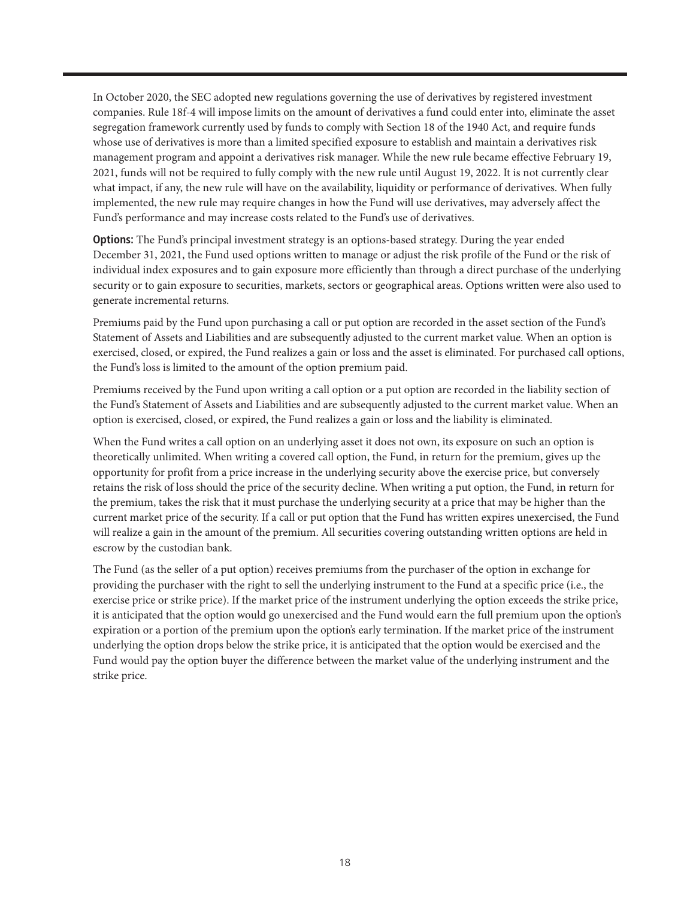In October 2020, the SEC adopted new regulations governing the use of derivatives by registered investment companies. Rule 18f-4 will impose limits on the amount of derivatives a fund could enter into, eliminate the asset segregation framework currently used by funds to comply with Section 18 of the 1940 Act, and require funds whose use of derivatives is more than a limited specified exposure to establish and maintain a derivatives risk management program and appoint a derivatives risk manager. While the new rule became effective February 19, 2021, funds will not be required to fully comply with the new rule until August 19, 2022. It is not currently clear what impact, if any, the new rule will have on the availability, liquidity or performance of derivatives. When fully implemented, the new rule may require changes in how the Fund will use derivatives, may adversely affect the Fund's performance and may increase costs related to the Fund's use of derivatives.

**Options:** The Fund's principal investment strategy is an options-based strategy. During the year ended December 31, 2021, the Fund used options written to manage or adjust the risk profile of the Fund or the risk of individual index exposures and to gain exposure more efficiently than through a direct purchase of the underlying security or to gain exposure to securities, markets, sectors or geographical areas. Options written were also used to generate incremental returns.

Premiums paid by the Fund upon purchasing a call or put option are recorded in the asset section of the Fund's Statement of Assets and Liabilities and are subsequently adjusted to the current market value. When an option is exercised, closed, or expired, the Fund realizes a gain or loss and the asset is eliminated. For purchased call options, the Fund's loss is limited to the amount of the option premium paid.

Premiums received by the Fund upon writing a call option or a put option are recorded in the liability section of the Fund's Statement of Assets and Liabilities and are subsequently adjusted to the current market value. When an option is exercised, closed, or expired, the Fund realizes a gain or loss and the liability is eliminated.

When the Fund writes a call option on an underlying asset it does not own, its exposure on such an option is theoretically unlimited. When writing a covered call option, the Fund, in return for the premium, gives up the opportunity for profit from a price increase in the underlying security above the exercise price, but conversely retains the risk of loss should the price of the security decline. When writing a put option, the Fund, in return for the premium, takes the risk that it must purchase the underlying security at a price that may be higher than the current market price of the security. If a call or put option that the Fund has written expires unexercised, the Fund will realize a gain in the amount of the premium. All securities covering outstanding written options are held in escrow by the custodian bank.

The Fund (as the seller of a put option) receives premiums from the purchaser of the option in exchange for providing the purchaser with the right to sell the underlying instrument to the Fund at a specific price (i.e., the exercise price or strike price). If the market price of the instrument underlying the option exceeds the strike price, it is anticipated that the option would go unexercised and the Fund would earn the full premium upon the option's expiration or a portion of the premium upon the option's early termination. If the market price of the instrument underlying the option drops below the strike price, it is anticipated that the option would be exercised and the Fund would pay the option buyer the difference between the market value of the underlying instrument and the strike price.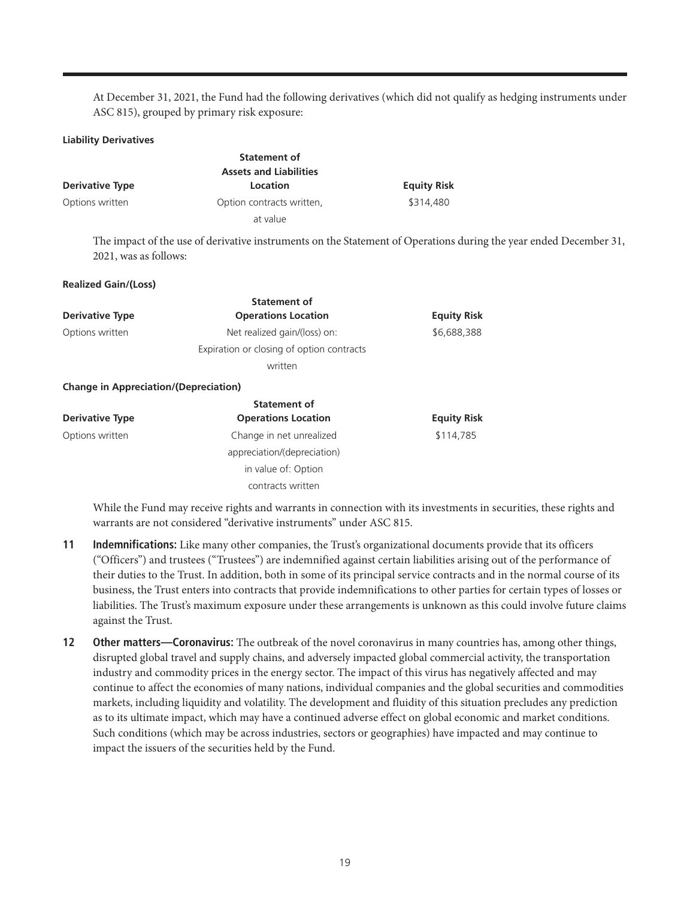At December 31, 2021, the Fund had the following derivatives (which did not qualify as hedging instruments under ASC 815), grouped by primary risk exposure:

#### **Liability Derivatives**

|                        | <b>Statement of</b><br><b>Assets and Liabilities</b> |                    |
|------------------------|------------------------------------------------------|--------------------|
| <b>Derivative Type</b> | <b>Location</b>                                      | <b>Equity Risk</b> |
| Options written        | Option contracts written,<br>at value                | \$314,480          |
|                        |                                                      |                    |

The impact of the use of derivative instruments on the Statement of Operations during the year ended December 31, 2021, was as follows:

#### **Realized Gain/(Loss)**

|                                              | Statement of                              |                    |
|----------------------------------------------|-------------------------------------------|--------------------|
| <b>Derivative Type</b>                       | <b>Operations Location</b>                | <b>Equity Risk</b> |
| Options written                              | Net realized gain/(loss) on:              | \$6,688,388        |
|                                              | Expiration or closing of option contracts |                    |
|                                              | written                                   |                    |
| <b>Change in Appreciation/(Depreciation)</b> |                                           |                    |
|                                              | Statement of                              |                    |
| <b>Derivative Type</b>                       | <b>Operations Location</b>                | <b>Equity Risk</b> |
| Options written                              | Change in net unrealized                  | \$114,785          |

contracts written

 appreciation/(depreciation) in value of: Option

While the Fund may receive rights and warrants in connection with its investments in securities, these rights and warrants are not considered "derivative instruments" under ASC 815.

- **11 Indemnifications:** Like many other companies, the Trust's organizational documents provide that its officers ("Officers") and trustees ("Trustees") are indemnified against certain liabilities arising out of the performance of their duties to the Trust. In addition, both in some of its principal service contracts and in the normal course of its business, the Trust enters into contracts that provide indemnifications to other parties for certain types of losses or liabilities. The Trust's maximum exposure under these arrangements is unknown as this could involve future claims against the Trust.
- **12 Other matters—Coronavirus:** The outbreak of the novel coronavirus in many countries has, among other things, disrupted global travel and supply chains, and adversely impacted global commercial activity, the transportation industry and commodity prices in the energy sector. The impact of this virus has negatively affected and may continue to affect the economies of many nations, individual companies and the global securities and commodities markets, including liquidity and volatility. The development and fluidity of this situation precludes any prediction as to its ultimate impact, which may have a continued adverse effect on global economic and market conditions. Such conditions (which may be across industries, sectors or geographies) have impacted and may continue to impact the issuers of the securities held by the Fund.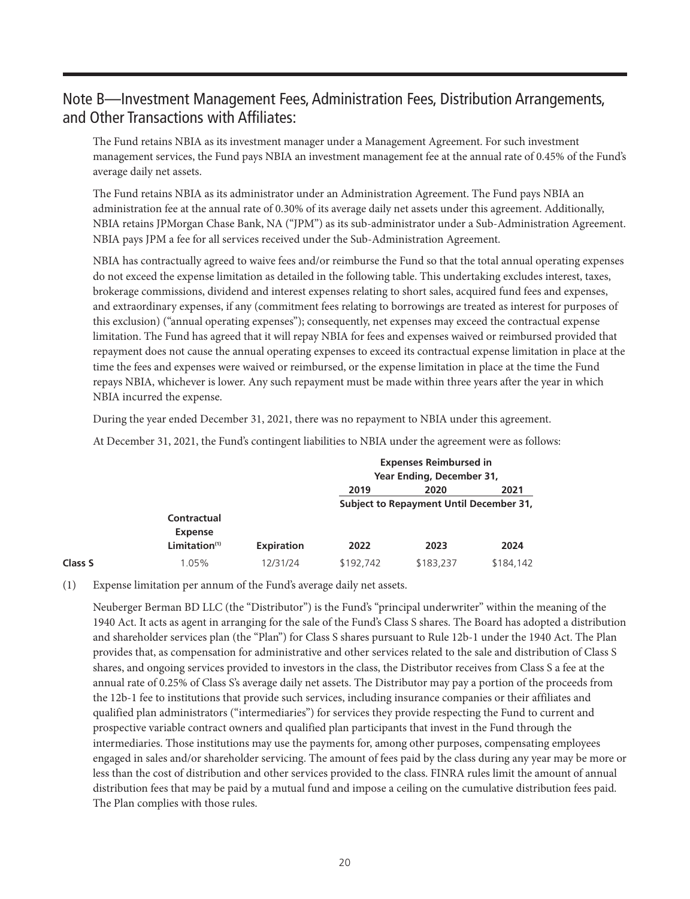### Note B—Investment Management Fees, Administration Fees, Distribution Arrangements, and Other Transactions with Affiliates:

The Fund retains NBIA as its investment manager under a Management Agreement. For such investment management services, the Fund pays NBIA an investment management fee at the annual rate of 0.45% of the Fund's average daily net assets.

The Fund retains NBIA as its administrator under an Administration Agreement. The Fund pays NBIA an administration fee at the annual rate of 0.30% of its average daily net assets under this agreement. Additionally, NBIA retains JPMorgan Chase Bank, NA ("JPM") as its sub-administrator under a Sub-Administration Agreement. NBIA pays JPM a fee for all services received under the Sub-Administration Agreement.

NBIA has contractually agreed to waive fees and/or reimburse the Fund so that the total annual operating expenses do not exceed the expense limitation as detailed in the following table. This undertaking excludes interest, taxes, brokerage commissions, dividend and interest expenses relating to short sales, acquired fund fees and expenses, and extraordinary expenses, if any (commitment fees relating to borrowings are treated as interest for purposes of this exclusion) ("annual operating expenses"); consequently, net expenses may exceed the contractual expense limitation. The Fund has agreed that it will repay NBIA for fees and expenses waived or reimbursed provided that repayment does not cause the annual operating expenses to exceed its contractual expense limitation in place at the time the fees and expenses were waived or reimbursed, or the expense limitation in place at the time the Fund repays NBIA, whichever is lower. Any such repayment must be made within three years after the year in which NBIA incurred the expense.

During the year ended December 31, 2021, there was no repayment to NBIA under this agreement.

At December 31, 2021, the Fund's contingent liabilities to NBIA under the agreement were as follows:

|         |                           |                   | <b>Expenses Reimbursed in</b> |                                         |           |  |  |
|---------|---------------------------|-------------------|-------------------------------|-----------------------------------------|-----------|--|--|
|         |                           |                   | Year Ending, December 31,     |                                         |           |  |  |
|         |                           |                   | 2019                          | 2020                                    | 2021      |  |  |
|         |                           |                   |                               | Subject to Repayment Until December 31, |           |  |  |
|         | Contractual               |                   |                               |                                         |           |  |  |
|         | <b>Expense</b>            |                   |                               |                                         |           |  |  |
|         | Limitation <sup>(1)</sup> | <b>Expiration</b> | 2022                          | 2023                                    | 2024      |  |  |
| Class S | 1.05%                     | 12/31/24          | \$192.742                     | \$183,237                               | \$184,142 |  |  |

(1) Expense limitation per annum of the Fund's average daily net assets.

Neuberger Berman BD LLC (the "Distributor") is the Fund's "principal underwriter" within the meaning of the 1940 Act. It acts as agent in arranging for the sale of the Fund's Class S shares. The Board has adopted a distribution and shareholder services plan (the "Plan") for Class S shares pursuant to Rule 12b-1 under the 1940 Act. The Plan provides that, as compensation for administrative and other services related to the sale and distribution of Class S shares, and ongoing services provided to investors in the class, the Distributor receives from Class S a fee at the annual rate of 0.25% of Class S's average daily net assets. The Distributor may pay a portion of the proceeds from the 12b-1 fee to institutions that provide such services, including insurance companies or their affiliates and qualified plan administrators ("intermediaries") for services they provide respecting the Fund to current and prospective variable contract owners and qualified plan participants that invest in the Fund through the intermediaries. Those institutions may use the payments for, among other purposes, compensating employees engaged in sales and/or shareholder servicing. The amount of fees paid by the class during any year may be more or less than the cost of distribution and other services provided to the class. FINRA rules limit the amount of annual distribution fees that may be paid by a mutual fund and impose a ceiling on the cumulative distribution fees paid. The Plan complies with those rules.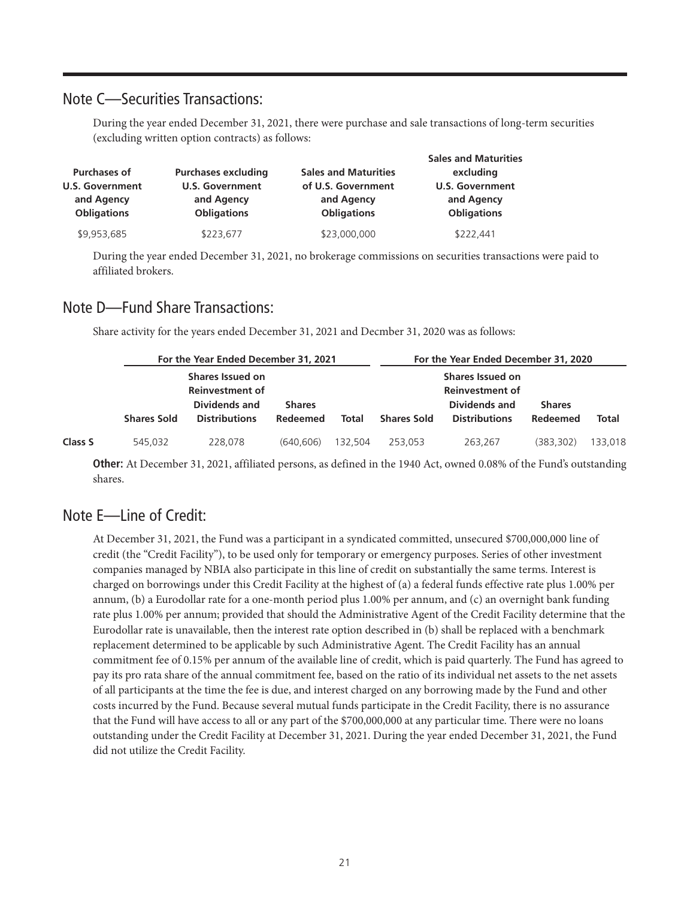### Note C—Securities Transactions:

During the year ended December 31, 2021, there were purchase and sale transactions of long-term securities (excluding written option contracts) as follows:

|                                  |                                  |                                  | <b>Sales and Maturities</b>      |
|----------------------------------|----------------------------------|----------------------------------|----------------------------------|
| <b>Purchases of</b>              | <b>Purchases excluding</b>       | <b>Sales and Maturities</b>      | excluding                        |
| <b>U.S. Government</b>           | <b>U.S. Government</b>           | of U.S. Government               | <b>U.S. Government</b>           |
| and Agency<br><b>Obligations</b> | and Agency<br><b>Obligations</b> | and Agency<br><b>Obligations</b> | and Agency<br><b>Obligations</b> |
|                                  |                                  |                                  |                                  |
| \$9,953,685                      | \$223.677                        | \$23,000,000                     | \$222,441                        |

During the year ended December 31, 2021, no brokerage commissions on securities transactions were paid to affiliated brokers.

### Note D—Fund Share Transactions:

Share activity for the years ended December 31, 2021 and Decmber 31, 2020 was as follows:

|         |                    | For the Year Ended December 31, 2021    |               |         | For the Year Ended December 31, 2020 |                                         |               |              |
|---------|--------------------|-----------------------------------------|---------------|---------|--------------------------------------|-----------------------------------------|---------------|--------------|
|         |                    | <b>Shares Issued on</b>                 |               |         |                                      | <b>Shares Issued on</b>                 |               |              |
|         |                    | <b>Reinvestment of</b><br>Dividends and | <b>Shares</b> |         |                                      | <b>Reinvestment of</b><br>Dividends and | <b>Shares</b> |              |
|         | <b>Shares Sold</b> | <b>Distributions</b>                    | Redeemed      | Total   | <b>Shares Sold</b>                   | <b>Distributions</b>                    | Redeemed      | <b>Total</b> |
| Class S | 545.032            | 228.078                                 | (640.606)     | 132,504 | 253.053                              | 263.267                                 | (383.302)     | 133,018      |

**Other:** At December 31, 2021, affiliated persons, as defined in the 1940 Act, owned 0.08% of the Fund's outstanding shares.

### Note E—Line of Credit:

At December 31, 2021, the Fund was a participant in a syndicated committed, unsecured \$700,000,000 line of credit (the "Credit Facility"), to be used only for temporary or emergency purposes. Series of other investment companies managed by NBIA also participate in this line of credit on substantially the same terms. Interest is charged on borrowings under this Credit Facility at the highest of (a) a federal funds effective rate plus 1.00% per annum, (b) a Eurodollar rate for a one-month period plus 1.00% per annum, and (c) an overnight bank funding rate plus 1.00% per annum; provided that should the Administrative Agent of the Credit Facility determine that the Eurodollar rate is unavailable, then the interest rate option described in (b) shall be replaced with a benchmark replacement determined to be applicable by such Administrative Agent. The Credit Facility has an annual commitment fee of 0.15% per annum of the available line of credit, which is paid quarterly. The Fund has agreed to pay its pro rata share of the annual commitment fee, based on the ratio of its individual net assets to the net assets of all participants at the time the fee is due, and interest charged on any borrowing made by the Fund and other costs incurred by the Fund. Because several mutual funds participate in the Credit Facility, there is no assurance that the Fund will have access to all or any part of the \$700,000,000 at any particular time. There were no loans outstanding under the Credit Facility at December 31, 2021. During the year ended December 31, 2021, the Fund did not utilize the Credit Facility.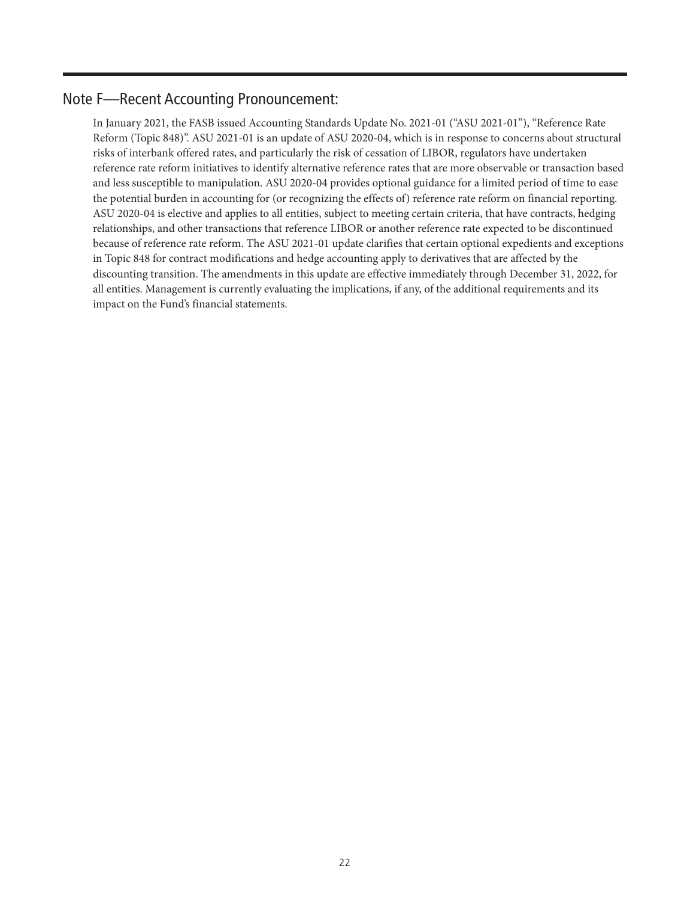### Note F—Recent Accounting Pronouncement:

In January 2021, the FASB issued Accounting Standards Update No. 2021-01 ("ASU 2021-01"), "Reference Rate Reform (Topic 848)". ASU 2021-01 is an update of ASU 2020-04, which is in response to concerns about structural risks of interbank offered rates, and particularly the risk of cessation of LIBOR, regulators have undertaken reference rate reform initiatives to identify alternative reference rates that are more observable or transaction based and less susceptible to manipulation. ASU 2020-04 provides optional guidance for a limited period of time to ease the potential burden in accounting for (or recognizing the effects of) reference rate reform on financial reporting. ASU 2020-04 is elective and applies to all entities, subject to meeting certain criteria, that have contracts, hedging relationships, and other transactions that reference LIBOR or another reference rate expected to be discontinued because of reference rate reform. The ASU 2021-01 update clarifies that certain optional expedients and exceptions in Topic 848 for contract modifications and hedge accounting apply to derivatives that are affected by the discounting transition. The amendments in this update are effective immediately through December 31, 2022, for all entities. Management is currently evaluating the implications, if any, of the additional requirements and its impact on the Fund's financial statements.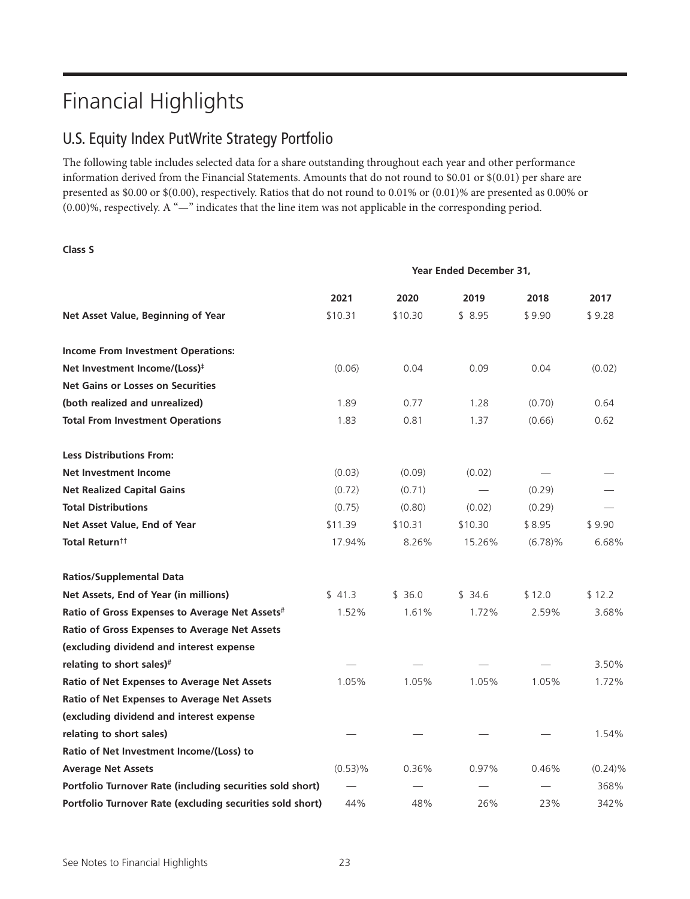## Financial Highlights

## U.S. Equity Index PutWrite Strategy Portfolio

The following table includes selected data for a share outstanding throughout each year and other performance information derived from the Financial Statements. Amounts that do not round to \$0.01 or \$(0.01) per share are presented as \$0.00 or \$(0.00), respectively. Ratios that do not round to 0.01% or (0.01)% are presented as 0.00% or (0.00)%, respectively. A "—" indicates that the line item was not applicable in the corresponding period.

**Class S**

|                                                           | Year Ended December 31, |         |         |         |         |
|-----------------------------------------------------------|-------------------------|---------|---------|---------|---------|
|                                                           | 2021                    | 2020    | 2019    | 2018    | 2017    |
| Net Asset Value, Beginning of Year                        | \$10.31                 | \$10.30 | \$8.95  | \$9.90  | \$9.28  |
| <b>Income From Investment Operations:</b>                 |                         |         |         |         |         |
| Net Investment Income/(Loss) <sup>‡</sup>                 | (0.06)                  | 0.04    | 0.09    | 0.04    | (0.02)  |
| <b>Net Gains or Losses on Securities</b>                  |                         |         |         |         |         |
| (both realized and unrealized)                            | 1.89                    | 0.77    | 1.28    | (0.70)  | 0.64    |
| <b>Total From Investment Operations</b>                   | 1.83                    | 0.81    | 1.37    | (0.66)  | 0.62    |
| <b>Less Distributions From:</b>                           |                         |         |         |         |         |
| <b>Net Investment Income</b>                              | (0.03)                  | (0.09)  | (0.02)  |         |         |
| <b>Net Realized Capital Gains</b>                         | (0.72)                  | (0.71)  |         | (0.29)  |         |
| <b>Total Distributions</b>                                | (0.75)                  | (0.80)  | (0.02)  | (0.29)  |         |
| Net Asset Value, End of Year                              | \$11.39                 | \$10.31 | \$10.30 | \$8.95  | \$9.90  |
| Total Return <sup>††</sup>                                | 17.94%                  | 8.26%   | 15.26%  | (6.78)% | 6.68%   |
| <b>Ratios/Supplemental Data</b>                           |                         |         |         |         |         |
| Net Assets, End of Year (in millions)                     | \$41.3                  | \$36.0  | \$34.6  | \$12.0  | \$12.2  |
| Ratio of Gross Expenses to Average Net Assets#            | 1.52%                   | 1.61%   | 1.72%   | 2.59%   | 3.68%   |
| <b>Ratio of Gross Expenses to Average Net Assets</b>      |                         |         |         |         |         |
| (excluding dividend and interest expense                  |                         |         |         |         |         |
| relating to short sales)#                                 |                         |         |         |         | 3.50%   |
| <b>Ratio of Net Expenses to Average Net Assets</b>        | 1.05%                   | 1.05%   | 1.05%   | 1.05%   | 1.72%   |
| <b>Ratio of Net Expenses to Average Net Assets</b>        |                         |         |         |         |         |
| (excluding dividend and interest expense                  |                         |         |         |         |         |
| relating to short sales)                                  |                         |         |         |         | 1.54%   |
| Ratio of Net Investment Income/(Loss) to                  |                         |         |         |         |         |
| <b>Average Net Assets</b>                                 | $(0.53)$ %              | 0.36%   | 0.97%   | 0.46%   | (0.24)% |
| Portfolio Turnover Rate (including securities sold short) |                         |         |         |         | 368%    |
| Portfolio Turnover Rate (excluding securities sold short) | 44%                     | 48%     | 26%     | 23%     | 342%    |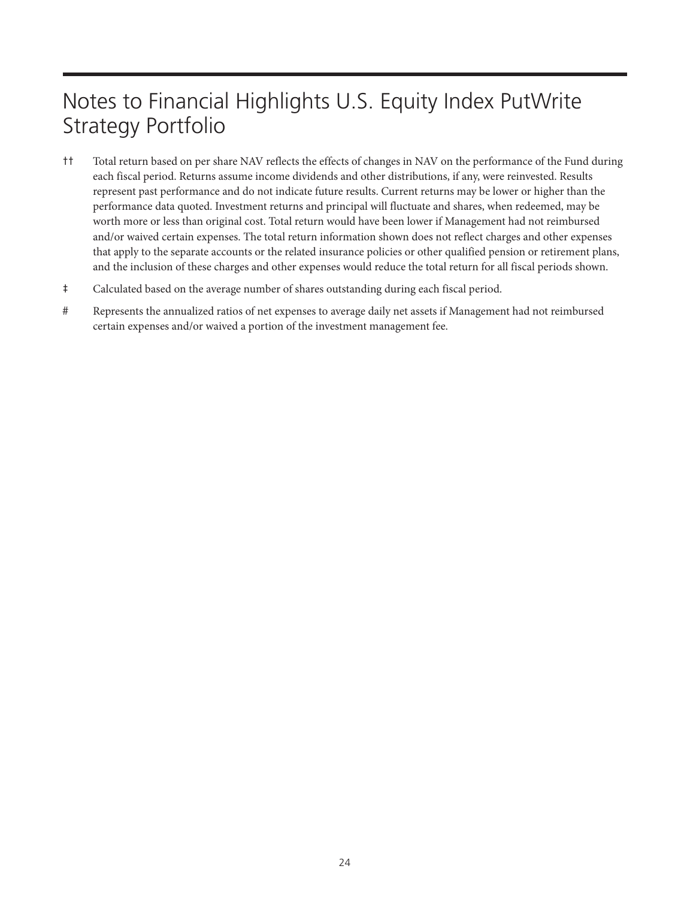## Notes to Financial Highlights U.S. Equity Index PutWrite Strategy Portfolio

- †† Total return based on per share NAV reflects the effects of changes in NAV on the performance of the Fund during each fiscal period. Returns assume income dividends and other distributions, if any, were reinvested. Results represent past performance and do not indicate future results. Current returns may be lower or higher than the performance data quoted. Investment returns and principal will fluctuate and shares, when redeemed, may be worth more or less than original cost. Total return would have been lower if Management had not reimbursed and/or waived certain expenses. The total return information shown does not reflect charges and other expenses that apply to the separate accounts or the related insurance policies or other qualified pension or retirement plans, and the inclusion of these charges and other expenses would reduce the total return for all fiscal periods shown.
- ‡ Calculated based on the average number of shares outstanding during each fiscal period.
- # Represents the annualized ratios of net expenses to average daily net assets if Management had not reimbursed certain expenses and/or waived a portion of the investment management fee.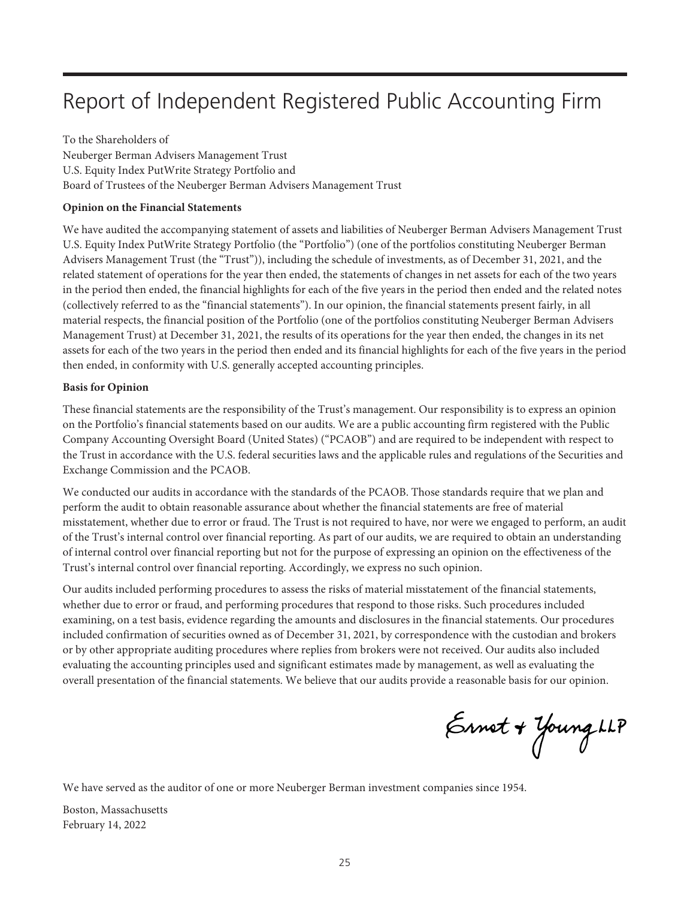## Report of Independent Registered Public Accounting Firm

To the Shareholders of Neuberger Berman Advisers Management Trust U.S. Equity Index PutWrite Strategy Portfolio and Board of Trustees of the Neuberger Berman Advisers Management Trust

#### **Opinion on the Financial Statements**

We have audited the accompanying statement of assets and liabilities of Neuberger Berman Advisers Management Trust U.S. Equity Index PutWrite Strategy Portfolio (the "Portfolio") (one of the portfolios constituting Neuberger Berman Advisers Management Trust (the "Trust")), including the schedule of investments, as of December 31, 2021, and the related statement of operations for the year then ended, the statements of changes in net assets for each of the two years in the period then ended, the financial highlights for each of the five years in the period then ended and the related notes (collectively referred to as the "financial statements"). In our opinion, the financial statements present fairly, in all material respects, the financial position of the Portfolio (one of the portfolios constituting Neuberger Berman Advisers Management Trust) at December 31, 2021, the results of its operations for the year then ended, the changes in its net assets for each of the two years in the period then ended and its financial highlights for each of the five years in the period then ended, in conformity with U.S. generally accepted accounting principles.

#### **Basis for Opinion**

These financial statements are the responsibility of the Trust's management. Our responsibility is to express an opinion on the Portfolio's financial statements based on our audits. We are a public accounting firm registered with the Public Company Accounting Oversight Board (United States) ("PCAOB") and are required to be independent with respect to the Trust in accordance with the U.S. federal securities laws and the applicable rules and regulations of the Securities and Exchange Commission and the PCAOB.

We conducted our audits in accordance with the standards of the PCAOB. Those standards require that we plan and perform the audit to obtain reasonable assurance about whether the financial statements are free of material misstatement, whether due to error or fraud. The Trust is not required to have, nor were we engaged to perform, an audit of the Trust's internal control over financial reporting. As part of our audits, we are required to obtain an understanding of internal control over financial reporting but not for the purpose of expressing an opinion on the effectiveness of the Trust's internal control over financial reporting. Accordingly, we express no such opinion.

Our audits included performing procedures to assess the risks of material misstatement of the financial statements, whether due to error or fraud, and performing procedures that respond to those risks. Such procedures included examining, on a test basis, evidence regarding the amounts and disclosures in the financial statements. Our procedures included confirmation of securities owned as of December 31, 2021, by correspondence with the custodian and brokers or by other appropriate auditing procedures where replies from brokers were not received. Our audits also included evaluating the accounting principles used and significant estimates made by management, as well as evaluating the overall presentation of the financial statements. We believe that our audits provide a reasonable basis for our opinion.

Ernet + Young LLP

We have served as the auditor of one or more Neuberger Berman investment companies since 1954.

Boston, Massachusetts February 14, 2022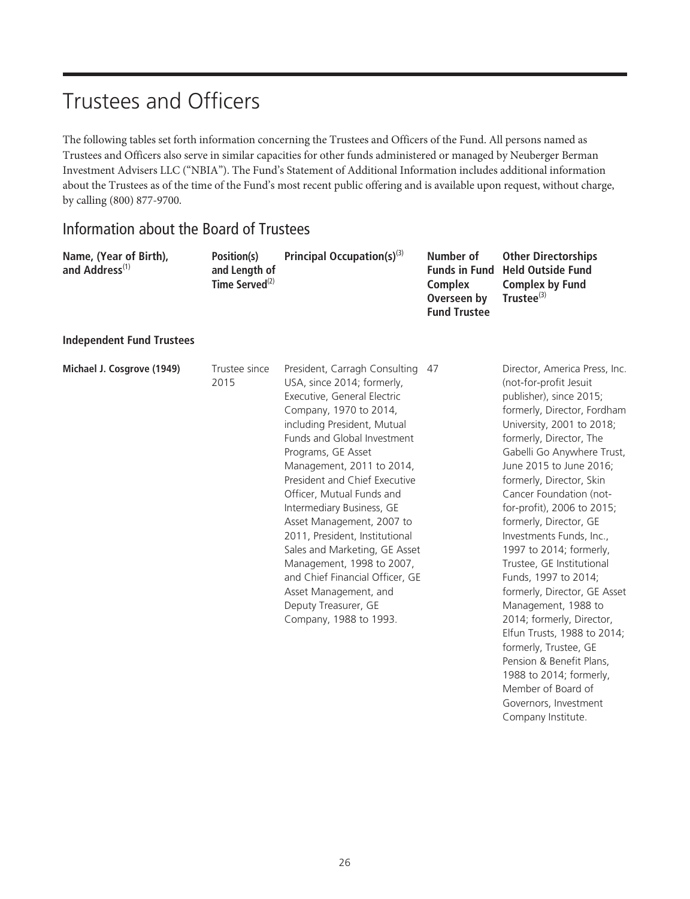## Trustees and Officers

The following tables set forth information concerning the Trustees and Officers of the Fund. All persons named as Trustees and Officers also serve in similar capacities for other funds administered or managed by Neuberger Berman Investment Advisers LLC ("NBIA"). The Fund's Statement of Additional Information includes additional information about the Trustees as of the time of the Fund's most recent public offering and is available upon request, without charge, by calling (800) 877-9700.

### Information about the Board of Trustees

| Name, (Year of Birth),<br>and Address <sup>(1)</sup> | Position(s)<br>and Length of<br>Time Served $^{(2)}$ | Principal Occupation(s) $^{(3)}$                                                                                                                                                      | Number of<br>Complex<br>Overseen by<br><b>Fund Trustee</b> | <b>Other Directorships</b><br><b>Funds in Fund Held Outside Fund</b><br><b>Complex by Fund</b><br>Trustee $^{(3)}$                                                      |
|------------------------------------------------------|------------------------------------------------------|---------------------------------------------------------------------------------------------------------------------------------------------------------------------------------------|------------------------------------------------------------|-------------------------------------------------------------------------------------------------------------------------------------------------------------------------|
| <b>Independent Fund Trustees</b>                     |                                                      |                                                                                                                                                                                       |                                                            |                                                                                                                                                                         |
| Michael J. Cosgrove (1949)                           | Trustee since<br>2015                                | President, Carragh Consulting 47<br>USA, since 2014; formerly,<br>Executive, General Electric<br>Company, 1970 to 2014,<br>including President, Mutual<br>Funds and Global Investment |                                                            | Director, America Press, Inc.<br>(not-for-profit Jesuit<br>publisher), since 2015;<br>formerly, Director, Fordham<br>University, 2001 to 2018;<br>formerly Director The |

Funds and Global Investment Programs, GE Asset Management, 2011 to 2014, President and Chief Executive Officer, Mutual Funds and Intermediary Business, GE Asset Management, 2007 to 2011, President, Institutional Sales and Marketing, GE Asset Management, 1998 to 2007, and Chief Financial Officer, GE Asset Management, and Deputy Treasurer, GE Company, 1988 to 1993.

formerly, Director, Fordham formerly, Director, The Gabelli Go Anywhere Trust, June 2015 to June 2016; formerly, Director, Skin Cancer Foundation (notfor-profit), 2006 to 2015; formerly, Director, GE Investments Funds, Inc., 1997 to 2014; formerly, Trustee, GE Institutional Funds, 1997 to 2014; formerly, Director, GE Asset Management, 1988 to 2014; formerly, Director, Elfun Trusts, 1988 to 2014; formerly, Trustee, GE Pension & Benefit Plans, 1988 to 2014; formerly, Member of Board of Governors, Investment Company Institute.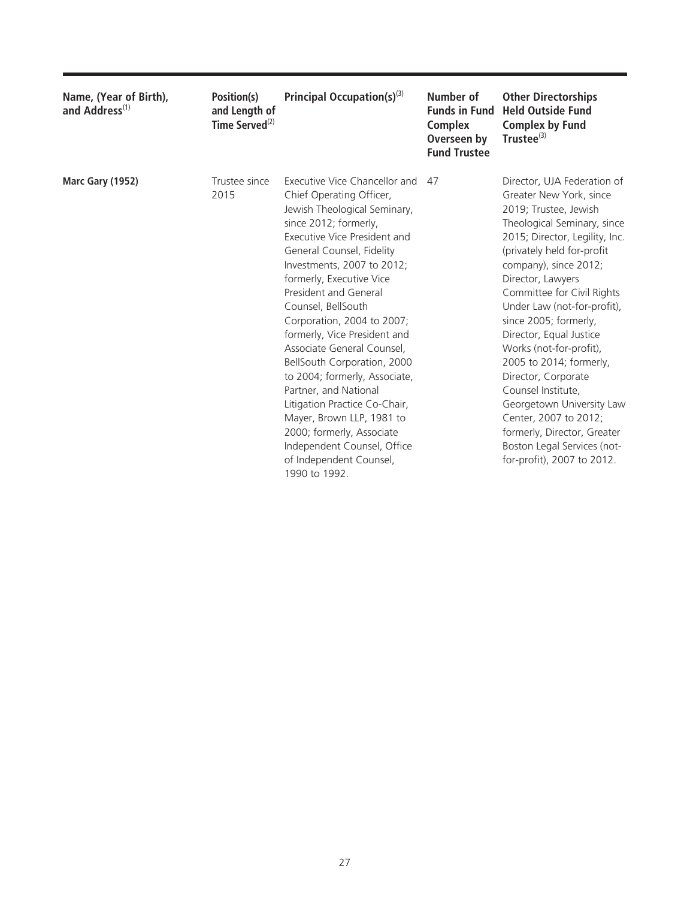| Name, (Year of Birth),<br>and Address <sup>(1)</sup> | Position(s)<br>and Length of<br>Time Served $^{(2)}$ | Principal Occupation(s) $^{(3)}$                                                                                                                                                                                                                                                                                                                                                                                                                                                                                                                                                                                                                    | Number of<br><b>Funds in Fund</b><br><b>Complex</b><br>Overseen by<br><b>Fund Trustee</b> | <b>Other Directorships</b><br><b>Held Outside Fund</b><br><b>Complex by Fund</b><br>Trustee <sup>(3)</sup>                                                                                                                                                                                                                                                                                                                                                                                                                                                                                         |
|------------------------------------------------------|------------------------------------------------------|-----------------------------------------------------------------------------------------------------------------------------------------------------------------------------------------------------------------------------------------------------------------------------------------------------------------------------------------------------------------------------------------------------------------------------------------------------------------------------------------------------------------------------------------------------------------------------------------------------------------------------------------------------|-------------------------------------------------------------------------------------------|----------------------------------------------------------------------------------------------------------------------------------------------------------------------------------------------------------------------------------------------------------------------------------------------------------------------------------------------------------------------------------------------------------------------------------------------------------------------------------------------------------------------------------------------------------------------------------------------------|
| <b>Marc Gary (1952)</b>                              | Trustee since<br>2015                                | Executive Vice Chancellor and<br>Chief Operating Officer,<br>Jewish Theological Seminary,<br>since 2012; formerly,<br>Executive Vice President and<br>General Counsel, Fidelity<br>Investments, 2007 to 2012;<br>formerly, Executive Vice<br>President and General<br>Counsel, BellSouth<br>Corporation, 2004 to 2007;<br>formerly, Vice President and<br>Associate General Counsel,<br>BellSouth Corporation, 2000<br>to 2004; formerly, Associate,<br>Partner, and National<br>Litigation Practice Co-Chair,<br>Mayer, Brown LLP, 1981 to<br>2000; formerly, Associate<br>Independent Counsel, Office<br>of Independent Counsel,<br>1990 to 1992. | 47                                                                                        | Director, UJA Federation of<br>Greater New York, since<br>2019; Trustee, Jewish<br>Theological Seminary, since<br>2015; Director, Legility, Inc.<br>(privately held for-profit<br>company), since 2012;<br>Director, Lawyers<br>Committee for Civil Rights<br>Under Law (not-for-profit),<br>since 2005; formerly,<br>Director, Equal Justice<br>Works (not-for-profit),<br>2005 to 2014; formerly,<br>Director, Corporate<br>Counsel Institute,<br>Georgetown University Law<br>Center, 2007 to 2012;<br>formerly, Director, Greater<br>Boston Legal Services (not-<br>for-profit), 2007 to 2012. |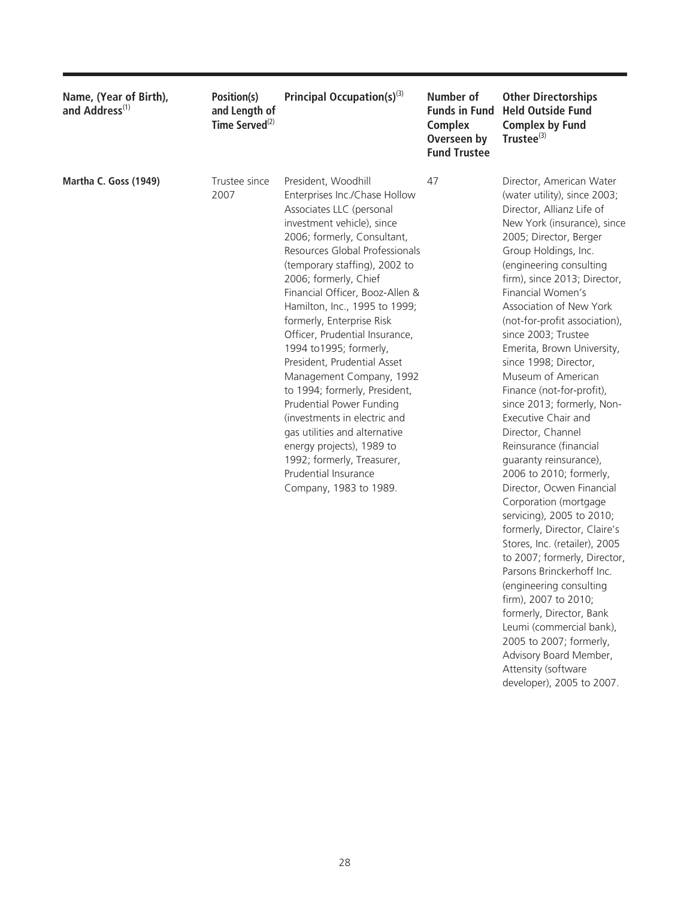| Name, (Year of Birth),<br>and Address <sup>(1)</sup> | Position(s)<br>and Length of<br>Time Served <sup>(2)</sup> | Principal Occupation(s) $^{(3)}$                                                                                                                                                                                                                                                                                                                                                                                                                                                                                                                                                                                                                                                                             | Number of<br><b>Funds in Fund</b><br><b>Complex</b><br>Overseen by<br><b>Fund Trustee</b> | <b>Other Directorships</b><br><b>Held Outside Fund</b><br><b>Complex by Fund</b><br>Trustee <sup>(3)</sup>                                                                                                                                                                                                                                                                                                                                                                                                                                                                                                                                                                                                                                                                                                                                                                                                                                                                 |
|------------------------------------------------------|------------------------------------------------------------|--------------------------------------------------------------------------------------------------------------------------------------------------------------------------------------------------------------------------------------------------------------------------------------------------------------------------------------------------------------------------------------------------------------------------------------------------------------------------------------------------------------------------------------------------------------------------------------------------------------------------------------------------------------------------------------------------------------|-------------------------------------------------------------------------------------------|----------------------------------------------------------------------------------------------------------------------------------------------------------------------------------------------------------------------------------------------------------------------------------------------------------------------------------------------------------------------------------------------------------------------------------------------------------------------------------------------------------------------------------------------------------------------------------------------------------------------------------------------------------------------------------------------------------------------------------------------------------------------------------------------------------------------------------------------------------------------------------------------------------------------------------------------------------------------------|
| Martha C. Goss (1949)                                | Trustee since<br>2007                                      | President, Woodhill<br>Enterprises Inc./Chase Hollow<br>Associates LLC (personal<br>investment vehicle), since<br>2006; formerly, Consultant,<br>Resources Global Professionals<br>(temporary staffing), 2002 to<br>2006; formerly, Chief<br>Financial Officer, Booz-Allen &<br>Hamilton, Inc., 1995 to 1999;<br>formerly, Enterprise Risk<br>Officer, Prudential Insurance,<br>1994 to1995; formerly,<br>President, Prudential Asset<br>Management Company, 1992<br>to 1994; formerly, President,<br>Prudential Power Funding<br>(investments in electric and<br>gas utilities and alternative<br>energy projects), 1989 to<br>1992; formerly, Treasurer,<br>Prudential Insurance<br>Company, 1983 to 1989. | 47                                                                                        | Director, American Water<br>(water utility), since 2003;<br>Director, Allianz Life of<br>New York (insurance), since<br>2005; Director, Berger<br>Group Holdings, Inc.<br>(engineering consulting<br>firm), since 2013; Director,<br>Financial Women's<br>Association of New York<br>(not-for-profit association),<br>since 2003; Trustee<br>Emerita, Brown University,<br>since 1998; Director,<br>Museum of American<br>Finance (not-for-profit),<br>since 2013; formerly, Non-<br><b>Executive Chair and</b><br>Director, Channel<br>Reinsurance (financial<br>guaranty reinsurance),<br>2006 to 2010; formerly,<br>Director, Ocwen Financial<br>Corporation (mortgage<br>servicing), 2005 to 2010;<br>formerly, Director, Claire's<br>Stores, Inc. (retailer), 2005<br>to 2007; formerly, Director,<br>Parsons Brinckerhoff Inc.<br>(engineering consulting<br>firm), 2007 to 2010;<br>formerly, Director, Bank<br>Leumi (commercial bank),<br>2005 to 2007; formerly, |

Advisory Board Member, Attensity (software developer), 2005 to 2007.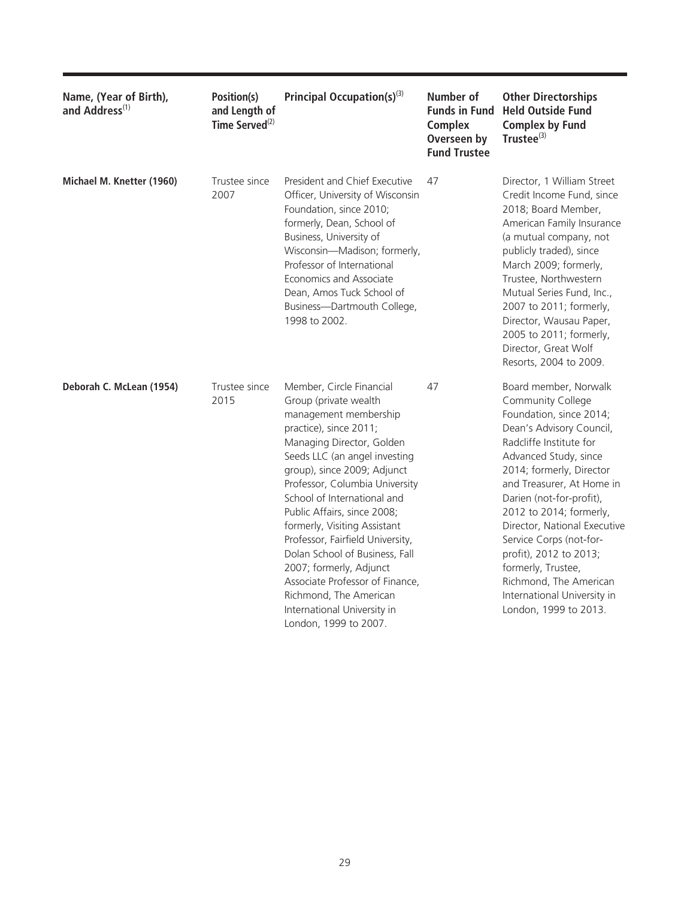| Name, (Year of Birth),<br>and Address <sup>(1)</sup> | Position(s)<br>and Length of<br>Time Served $^{(2)}$ | Principal Occupation(s) $(3)$                                                                                                                                                                                                                                                                                                                                                                                                                                                                                                                           | Number of<br><b>Funds in Fund</b><br><b>Complex</b><br>Overseen by<br><b>Fund Trustee</b> | <b>Other Directorships</b><br><b>Held Outside Fund</b><br><b>Complex by Fund</b><br>Trustee $^{(3)}$                                                                                                                                                                                                                                                                                                                                                               |
|------------------------------------------------------|------------------------------------------------------|---------------------------------------------------------------------------------------------------------------------------------------------------------------------------------------------------------------------------------------------------------------------------------------------------------------------------------------------------------------------------------------------------------------------------------------------------------------------------------------------------------------------------------------------------------|-------------------------------------------------------------------------------------------|--------------------------------------------------------------------------------------------------------------------------------------------------------------------------------------------------------------------------------------------------------------------------------------------------------------------------------------------------------------------------------------------------------------------------------------------------------------------|
| Michael M. Knetter (1960)                            | Trustee since<br>2007                                | President and Chief Executive<br>Officer, University of Wisconsin<br>Foundation, since 2010;<br>formerly, Dean, School of<br>Business, University of<br>Wisconsin-Madison; formerly,<br>Professor of International<br>Economics and Associate<br>Dean, Amos Tuck School of<br>Business-Dartmouth College,<br>1998 to 2002.                                                                                                                                                                                                                              | 47                                                                                        | Director, 1 William Street<br>Credit Income Fund, since<br>2018; Board Member,<br>American Family Insurance<br>(a mutual company, not<br>publicly traded), since<br>March 2009; formerly,<br>Trustee, Northwestern<br>Mutual Series Fund, Inc.,<br>2007 to 2011; formerly,<br>Director, Wausau Paper,<br>2005 to 2011; formerly,<br>Director, Great Wolf<br>Resorts, 2004 to 2009.                                                                                 |
| Deborah C. McLean (1954)                             | Trustee since<br>2015                                | Member, Circle Financial<br>Group (private wealth<br>management membership<br>practice), since 2011;<br>Managing Director, Golden<br>Seeds LLC (an angel investing<br>group), since 2009; Adjunct<br>Professor, Columbia University<br>School of International and<br>Public Affairs, since 2008;<br>formerly, Visiting Assistant<br>Professor, Fairfield University,<br>Dolan School of Business, Fall<br>2007; formerly, Adjunct<br>Associate Professor of Finance,<br>Richmond, The American<br>International University in<br>London, 1999 to 2007. | 47                                                                                        | Board member, Norwalk<br>Community College<br>Foundation, since 2014;<br>Dean's Advisory Council,<br>Radcliffe Institute for<br>Advanced Study, since<br>2014; formerly, Director<br>and Treasurer, At Home in<br>Darien (not-for-profit),<br>2012 to 2014; formerly,<br>Director, National Executive<br>Service Corps (not-for-<br>profit), 2012 to 2013;<br>formerly, Trustee,<br>Richmond, The American<br>International University in<br>London, 1999 to 2013. |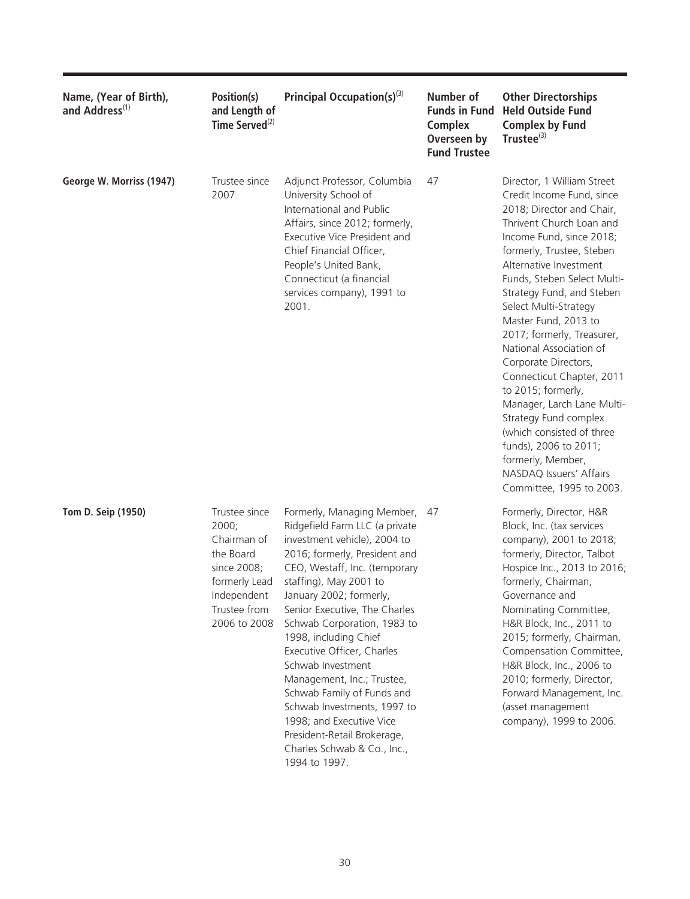| Name, (Year of Birth),<br>and Address <sup>(1)</sup> | Position(s)<br>and Length of<br>Time Served <sup>(2)</sup>                                                                        | Principal Occupation(s) $^{(3)}$                                                                                                                                                                                                                                                                                                                                                                                                                                                                                                                                      | Number of<br><b>Funds in Fund</b><br><b>Complex</b><br>Overseen by<br><b>Fund Trustee</b> | <b>Other Directorships</b><br><b>Held Outside Fund</b><br><b>Complex by Fund</b><br>Trustee $^{(3)}$                                                                                                                                                                                                                                                                                                                                                                                                                                                                                                                                          |
|------------------------------------------------------|-----------------------------------------------------------------------------------------------------------------------------------|-----------------------------------------------------------------------------------------------------------------------------------------------------------------------------------------------------------------------------------------------------------------------------------------------------------------------------------------------------------------------------------------------------------------------------------------------------------------------------------------------------------------------------------------------------------------------|-------------------------------------------------------------------------------------------|-----------------------------------------------------------------------------------------------------------------------------------------------------------------------------------------------------------------------------------------------------------------------------------------------------------------------------------------------------------------------------------------------------------------------------------------------------------------------------------------------------------------------------------------------------------------------------------------------------------------------------------------------|
| George W. Morriss (1947)                             | Trustee since<br>2007                                                                                                             | Adjunct Professor, Columbia<br>University School of<br>International and Public<br>Affairs, since 2012; formerly,<br>Executive Vice President and<br>Chief Financial Officer,<br>People's United Bank,<br>Connecticut (a financial<br>services company), 1991 to<br>2001.                                                                                                                                                                                                                                                                                             | 47                                                                                        | Director, 1 William Street<br>Credit Income Fund, since<br>2018; Director and Chair,<br>Thrivent Church Loan and<br>Income Fund, since 2018;<br>formerly, Trustee, Steben<br>Alternative Investment<br>Funds, Steben Select Multi-<br>Strategy Fund, and Steben<br>Select Multi-Strategy<br>Master Fund, 2013 to<br>2017; formerly, Treasurer,<br>National Association of<br>Corporate Directors,<br>Connecticut Chapter, 2011<br>to 2015; formerly,<br>Manager, Larch Lane Multi-<br>Strategy Fund complex<br>(which consisted of three<br>funds), 2006 to 2011;<br>formerly, Member,<br>NASDAQ Issuers' Affairs<br>Committee, 1995 to 2003. |
| Tom D. Seip (1950)                                   | Trustee since<br>2000;<br>Chairman of<br>the Board<br>since 2008;<br>formerly Lead<br>Independent<br>Trustee from<br>2006 to 2008 | Formerly, Managing Member,<br>Ridgefield Farm LLC (a private<br>investment vehicle), 2004 to<br>2016; formerly, President and<br>CEO, Westaff, Inc. (temporary<br>staffing), May 2001 to<br>January 2002; formerly,<br>Senior Executive, The Charles<br>Schwab Corporation, 1983 to<br>1998, including Chief<br>Executive Officer, Charles<br>Schwab Investment<br>Management, Inc.; Trustee,<br>Schwab Family of Funds and<br>Schwab Investments, 1997 to<br>1998; and Executive Vice<br>President-Retail Brokerage,<br>Charles Schwab & Co., Inc.,<br>1994 to 1997. | 47                                                                                        | Formerly, Director, H&R<br>Block, Inc. (tax services<br>company), 2001 to 2018;<br>formerly, Director, Talbot<br>Hospice Inc., 2013 to 2016;<br>formerly, Chairman,<br>Governance and<br>Nominating Committee,<br>H&R Block, Inc., 2011 to<br>2015; formerly, Chairman,<br>Compensation Committee,<br>H&R Block, Inc., 2006 to<br>2010; formerly, Director,<br>Forward Management, Inc.<br>(asset management<br>company), 1999 to 2006.                                                                                                                                                                                                       |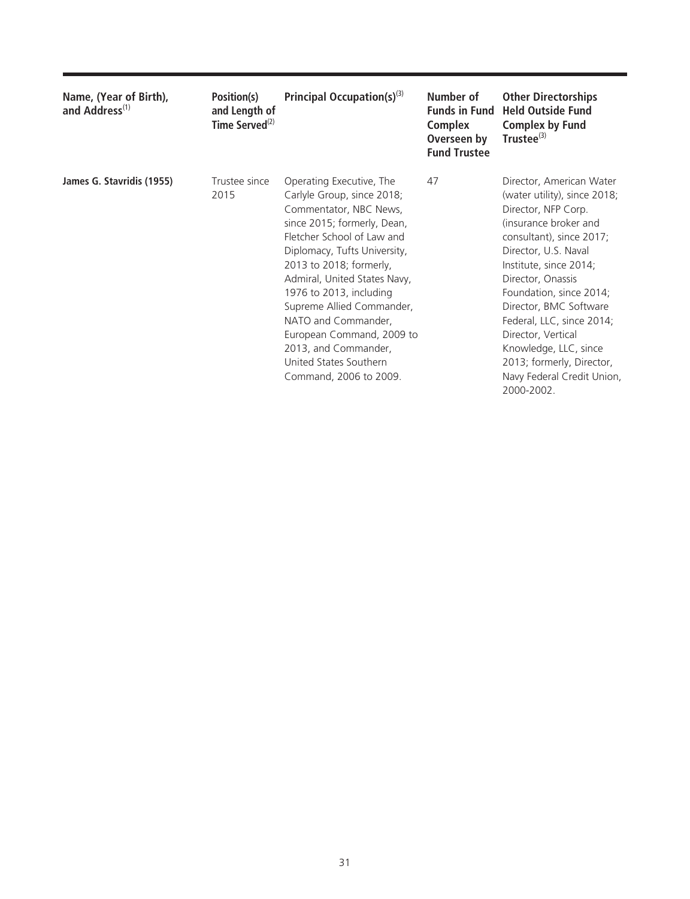| Name, (Year of Birth),<br>and Address <sup>(1)</sup> | Position(s)<br>and Length of<br>Time Served $^{(2)}$ | Principal Occupation(s) $^{(3)}$                                                                                                                                                                                                                                                                                                                                                                                                 | Number of<br><b>Funds in Fund</b><br>Complex<br>Overseen by<br><b>Fund Trustee</b> | <b>Other Directorships</b><br><b>Held Outside Fund</b><br><b>Complex by Fund</b><br>Trustee <sup>(3)</sup>                                                                                                                                                                                                                                                                                                            |
|------------------------------------------------------|------------------------------------------------------|----------------------------------------------------------------------------------------------------------------------------------------------------------------------------------------------------------------------------------------------------------------------------------------------------------------------------------------------------------------------------------------------------------------------------------|------------------------------------------------------------------------------------|-----------------------------------------------------------------------------------------------------------------------------------------------------------------------------------------------------------------------------------------------------------------------------------------------------------------------------------------------------------------------------------------------------------------------|
| James G. Stavridis (1955)                            | Trustee since<br>2015                                | Operating Executive, The<br>Carlyle Group, since 2018;<br>Commentator, NBC News,<br>since 2015; formerly, Dean,<br>Fletcher School of Law and<br>Diplomacy, Tufts University,<br>2013 to 2018; formerly,<br>Admiral, United States Navy,<br>1976 to 2013, including<br>Supreme Allied Commander,<br>NATO and Commander,<br>European Command, 2009 to<br>2013, and Commander,<br>United States Southern<br>Command, 2006 to 2009. | 47                                                                                 | Director, American Water<br>(water utility), since 2018;<br>Director, NFP Corp.<br>(insurance broker and<br>consultant), since 2017;<br>Director, U.S. Naval<br>Institute, since 2014;<br>Director, Onassis<br>Foundation, since 2014;<br>Director, BMC Software<br>Federal, LLC, since 2014;<br>Director, Vertical<br>Knowledge, LLC, since<br>2013; formerly, Director,<br>Navy Federal Credit Union,<br>2000-2002. |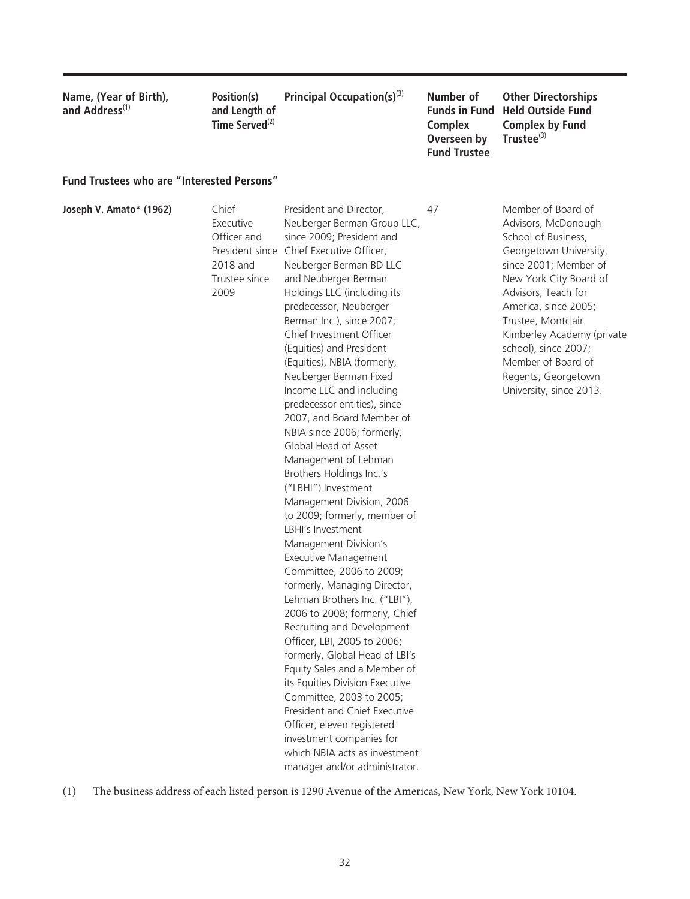| Name, (Year of Birth),<br>and Address <sup>(1)</sup> | Position(s)<br>and Length of<br>Time Served $^{(2)}$                   | Principal Occupation(s) $^{(3)}$                                                                                                                                                                                                                                                                                                                                                                                                                                                                                                                                                                                                                                                                                                                                                                                                                                                                                                                                                                                                                                                                                                                                                                                                                       | Number of<br><b>Funds in Fund</b><br><b>Complex</b><br>Overseen by<br><b>Fund Trustee</b> | <b>Other Directorships</b><br><b>Held Outside Fund</b><br><b>Complex by Fund</b><br>Trustee <sup>(3)</sup>                                                                                                                                                                                                                                       |
|------------------------------------------------------|------------------------------------------------------------------------|--------------------------------------------------------------------------------------------------------------------------------------------------------------------------------------------------------------------------------------------------------------------------------------------------------------------------------------------------------------------------------------------------------------------------------------------------------------------------------------------------------------------------------------------------------------------------------------------------------------------------------------------------------------------------------------------------------------------------------------------------------------------------------------------------------------------------------------------------------------------------------------------------------------------------------------------------------------------------------------------------------------------------------------------------------------------------------------------------------------------------------------------------------------------------------------------------------------------------------------------------------|-------------------------------------------------------------------------------------------|--------------------------------------------------------------------------------------------------------------------------------------------------------------------------------------------------------------------------------------------------------------------------------------------------------------------------------------------------|
| Fund Trustees who are "Interested Persons"           |                                                                        |                                                                                                                                                                                                                                                                                                                                                                                                                                                                                                                                                                                                                                                                                                                                                                                                                                                                                                                                                                                                                                                                                                                                                                                                                                                        |                                                                                           |                                                                                                                                                                                                                                                                                                                                                  |
| Joseph V. Amato* (1962)                              | Chief<br>Executive<br>Officer and<br>2018 and<br>Trustee since<br>2009 | President and Director,<br>Neuberger Berman Group LLC,<br>since 2009; President and<br>President since Chief Executive Officer,<br>Neuberger Berman BD LLC<br>and Neuberger Berman<br>Holdings LLC (including its<br>predecessor, Neuberger<br>Berman Inc.), since 2007;<br>Chief Investment Officer<br>(Equities) and President<br>(Equities), NBIA (formerly,<br>Neuberger Berman Fixed<br>Income LLC and including<br>predecessor entities), since<br>2007, and Board Member of<br>NBIA since 2006; formerly,<br>Global Head of Asset<br>Management of Lehman<br>Brothers Holdings Inc.'s<br>("LBHI") Investment<br>Management Division, 2006<br>to 2009; formerly, member of<br>LBHI's Investment<br>Management Division's<br><b>Executive Management</b><br>Committee, 2006 to 2009;<br>formerly, Managing Director,<br>Lehman Brothers Inc. ("LBI"),<br>2006 to 2008; formerly, Chief<br>Recruiting and Development<br>Officer, LBI, 2005 to 2006;<br>formerly, Global Head of LBI's<br>Equity Sales and a Member of<br>its Equities Division Executive<br>Committee, 2003 to 2005;<br>President and Chief Executive<br>Officer, eleven registered<br>investment companies for<br>which NBIA acts as investment<br>manager and/or administrator. | 47                                                                                        | Member of Board of<br>Advisors, McDonough<br>School of Business,<br>Georgetown University,<br>since 2001; Member of<br>New York City Board of<br>Advisors, Teach for<br>America, since 2005;<br>Trustee, Montclair<br>Kimberley Academy (private<br>school), since 2007;<br>Member of Board of<br>Regents, Georgetown<br>University, since 2013. |

(1) The business address of each listed person is 1290 Avenue of the Americas, New York, New York 10104.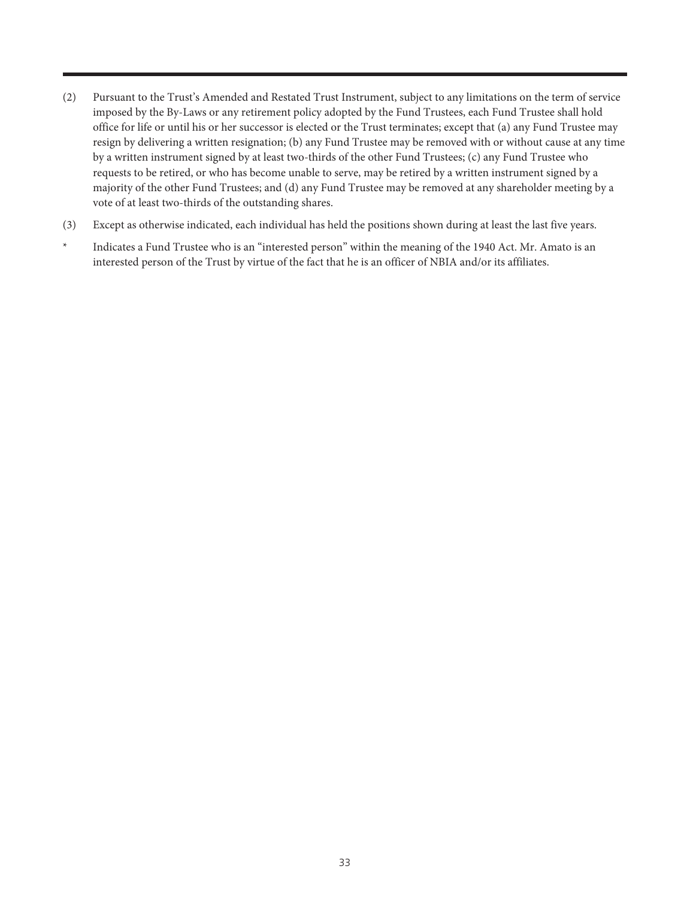- (2) Pursuant to the Trust's Amended and Restated Trust Instrument, subject to any limitations on the term of service imposed by the By-Laws or any retirement policy adopted by the Fund Trustees, each Fund Trustee shall hold office for life or until his or her successor is elected or the Trust terminates; except that (a) any Fund Trustee may resign by delivering a written resignation; (b) any Fund Trustee may be removed with or without cause at any time by a written instrument signed by at least two-thirds of the other Fund Trustees; (c) any Fund Trustee who requests to be retired, or who has become unable to serve, may be retired by a written instrument signed by a majority of the other Fund Trustees; and (d) any Fund Trustee may be removed at any shareholder meeting by a vote of at least two-thirds of the outstanding shares.
- (3) Except as otherwise indicated, each individual has held the positions shown during at least the last five years.
- \* Indicates a Fund Trustee who is an "interested person" within the meaning of the 1940 Act. Mr. Amato is an interested person of the Trust by virtue of the fact that he is an officer of NBIA and/or its affiliates.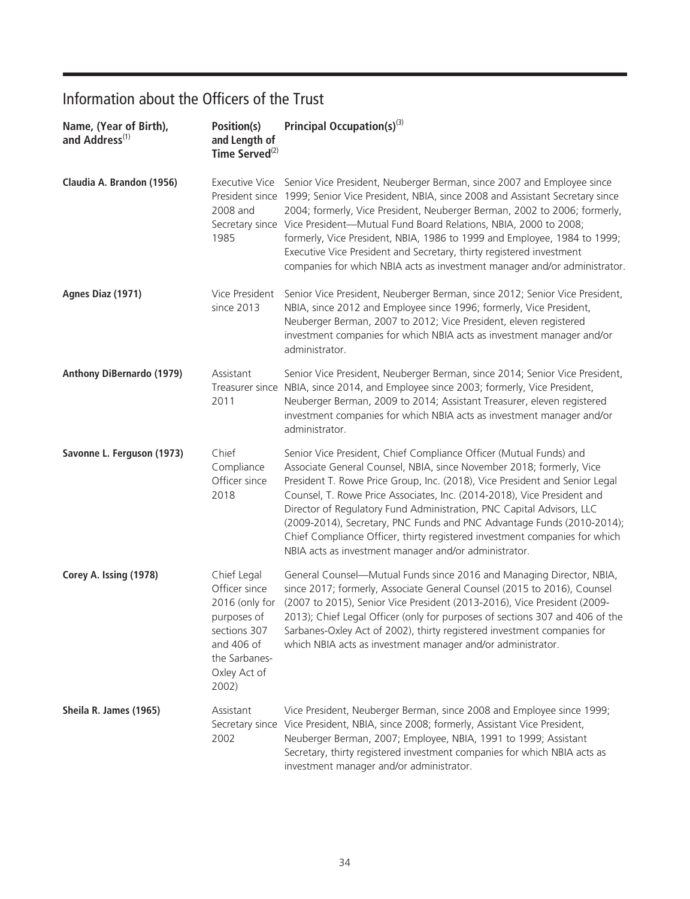## Information about the Officers of the Trust

| Name, (Year of Birth),<br>and Address <sup>(1)</sup> | Position(s)<br>and Length of<br>Time Served <sup>(2)</sup>                                                                            | Principal Occupation(s) $^{(3)}$                                                                                                                                                                                                                                                                                                                                                                                                                                                                                                                                                               |
|------------------------------------------------------|---------------------------------------------------------------------------------------------------------------------------------------|------------------------------------------------------------------------------------------------------------------------------------------------------------------------------------------------------------------------------------------------------------------------------------------------------------------------------------------------------------------------------------------------------------------------------------------------------------------------------------------------------------------------------------------------------------------------------------------------|
| Claudia A. Brandon (1956)                            | 2008 and<br>1985                                                                                                                      | Executive Vice Senior Vice President, Neuberger Berman, since 2007 and Employee since<br>President since 1999; Senior Vice President, NBIA, since 2008 and Assistant Secretary since<br>2004; formerly, Vice President, Neuberger Berman, 2002 to 2006; formerly,<br>Secretary since Vice President-Mutual Fund Board Relations, NBIA, 2000 to 2008;<br>formerly, Vice President, NBIA, 1986 to 1999 and Employee, 1984 to 1999;<br>Executive Vice President and Secretary, thirty registered investment<br>companies for which NBIA acts as investment manager and/or administrator.          |
| Agnes Diaz (1971)                                    | Vice President<br>since 2013                                                                                                          | Senior Vice President, Neuberger Berman, since 2012; Senior Vice President,<br>NBIA, since 2012 and Employee since 1996; formerly, Vice President,<br>Neuberger Berman, 2007 to 2012; Vice President, eleven registered<br>investment companies for which NBIA acts as investment manager and/or<br>administrator.                                                                                                                                                                                                                                                                             |
| Anthony DiBernardo (1979)                            | Assistant<br>2011                                                                                                                     | Senior Vice President, Neuberger Berman, since 2014; Senior Vice President,<br>Treasurer since NBIA, since 2014, and Employee since 2003; formerly, Vice President,<br>Neuberger Berman, 2009 to 2014; Assistant Treasurer, eleven registered<br>investment companies for which NBIA acts as investment manager and/or<br>administrator.                                                                                                                                                                                                                                                       |
| Savonne L. Ferguson (1973)                           | Chief<br>Compliance<br>Officer since<br>2018                                                                                          | Senior Vice President, Chief Compliance Officer (Mutual Funds) and<br>Associate General Counsel, NBIA, since November 2018; formerly, Vice<br>President T. Rowe Price Group, Inc. (2018), Vice President and Senior Legal<br>Counsel, T. Rowe Price Associates, Inc. (2014-2018), Vice President and<br>Director of Regulatory Fund Administration, PNC Capital Advisors, LLC<br>(2009-2014), Secretary, PNC Funds and PNC Advantage Funds (2010-2014);<br>Chief Compliance Officer, thirty registered investment companies for which<br>NBIA acts as investment manager and/or administrator. |
| Corey A. Issing (1978)                               | Chief Legal<br>Officer since<br>2016 (only for<br>purposes of<br>sections 307<br>and 406 of<br>the Sarbanes-<br>Oxley Act of<br>2002) | General Counsel-Mutual Funds since 2016 and Managing Director, NBIA,<br>since 2017; formerly, Associate General Counsel (2015 to 2016), Counsel<br>(2007 to 2015), Senior Vice President (2013-2016), Vice President (2009-<br>2013); Chief Legal Officer (only for purposes of sections 307 and 406 of the<br>Sarbanes-Oxley Act of 2002), thirty registered investment companies for<br>which NBIA acts as investment manager and/or administrator.                                                                                                                                          |
| Sheila R. James (1965)                               | Assistant<br>2002                                                                                                                     | Vice President, Neuberger Berman, since 2008 and Employee since 1999;<br>Secretary since Vice President, NBIA, since 2008; formerly, Assistant Vice President,<br>Neuberger Berman, 2007; Employee, NBIA, 1991 to 1999; Assistant<br>Secretary, thirty registered investment companies for which NBIA acts as<br>investment manager and/or administrator.                                                                                                                                                                                                                                      |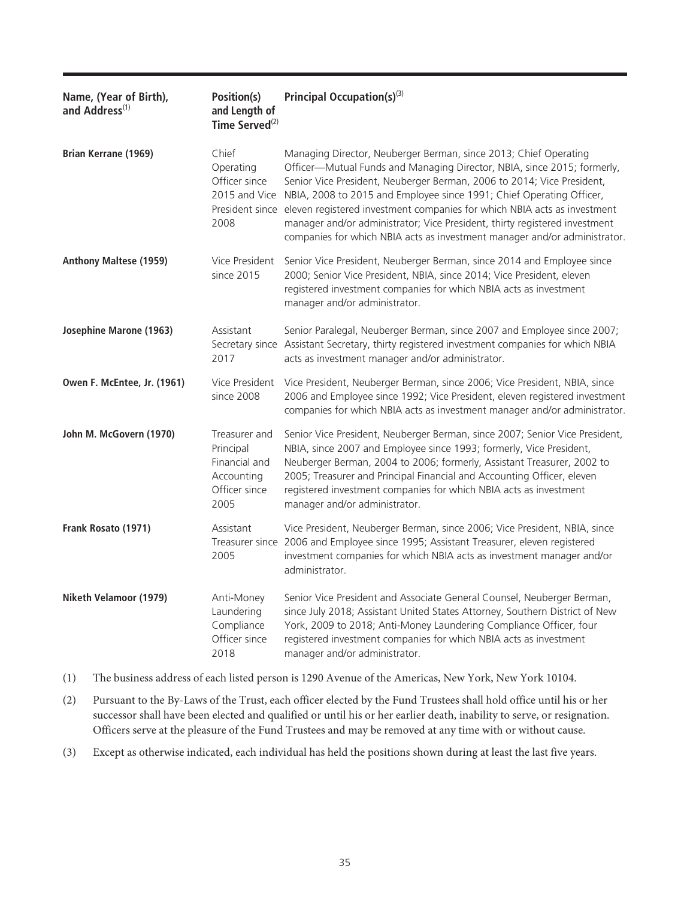| Name, (Year of Birth),<br>and Address <sup>(1)</sup> | Position(s)<br>and Length of<br>Time Served <sup>(2)</sup>                         | Principal Occupation(s) $^{(3)}$                                                                                                                                                                                                                                                                                                                                                                                                                                                                                                                                   |
|------------------------------------------------------|------------------------------------------------------------------------------------|--------------------------------------------------------------------------------------------------------------------------------------------------------------------------------------------------------------------------------------------------------------------------------------------------------------------------------------------------------------------------------------------------------------------------------------------------------------------------------------------------------------------------------------------------------------------|
| Brian Kerrane (1969)                                 | Chief<br>Operating<br>Officer since<br>2008                                        | Managing Director, Neuberger Berman, since 2013; Chief Operating<br>Officer-Mutual Funds and Managing Director, NBIA, since 2015; formerly,<br>Senior Vice President, Neuberger Berman, 2006 to 2014; Vice President,<br>2015 and Vice NBIA, 2008 to 2015 and Employee since 1991; Chief Operating Officer,<br>President since eleven registered investment companies for which NBIA acts as investment<br>manager and/or administrator; Vice President, thirty registered investment<br>companies for which NBIA acts as investment manager and/or administrator. |
| <b>Anthony Maltese (1959)</b>                        | Vice President<br>since 2015                                                       | Senior Vice President, Neuberger Berman, since 2014 and Employee since<br>2000; Senior Vice President, NBIA, since 2014; Vice President, eleven<br>registered investment companies for which NBIA acts as investment<br>manager and/or administrator.                                                                                                                                                                                                                                                                                                              |
| Josephine Marone (1963)                              | Assistant<br>2017                                                                  | Senior Paralegal, Neuberger Berman, since 2007 and Employee since 2007;<br>Secretary since Assistant Secretary, thirty registered investment companies for which NBIA<br>acts as investment manager and/or administrator.                                                                                                                                                                                                                                                                                                                                          |
| Owen F. McEntee, Jr. (1961)                          | Vice President<br>since 2008                                                       | Vice President, Neuberger Berman, since 2006; Vice President, NBIA, since<br>2006 and Employee since 1992; Vice President, eleven registered investment<br>companies for which NBIA acts as investment manager and/or administrator.                                                                                                                                                                                                                                                                                                                               |
| John M. McGovern (1970)                              | Treasurer and<br>Principal<br>Financial and<br>Accounting<br>Officer since<br>2005 | Senior Vice President, Neuberger Berman, since 2007; Senior Vice President,<br>NBIA, since 2007 and Employee since 1993; formerly, Vice President,<br>Neuberger Berman, 2004 to 2006; formerly, Assistant Treasurer, 2002 to<br>2005; Treasurer and Principal Financial and Accounting Officer, eleven<br>registered investment companies for which NBIA acts as investment<br>manager and/or administrator.                                                                                                                                                       |
| Frank Rosato (1971)                                  | Assistant<br>2005                                                                  | Vice President, Neuberger Berman, since 2006; Vice President, NBIA, since<br>Treasurer since 2006 and Employee since 1995; Assistant Treasurer, eleven registered<br>investment companies for which NBIA acts as investment manager and/or<br>administrator.                                                                                                                                                                                                                                                                                                       |
| Niketh Velamoor (1979)                               | Anti-Money<br>Laundering<br>Compliance<br>Officer since<br>2018                    | Senior Vice President and Associate General Counsel, Neuberger Berman,<br>since July 2018; Assistant United States Attorney, Southern District of New<br>York, 2009 to 2018; Anti-Money Laundering Compliance Officer, four<br>registered investment companies for which NBIA acts as investment<br>manager and/or administrator.                                                                                                                                                                                                                                  |

- (1) The business address of each listed person is 1290 Avenue of the Americas, New York, New York 10104.
- (2) Pursuant to the By-Laws of the Trust, each officer elected by the Fund Trustees shall hold office until his or her successor shall have been elected and qualified or until his or her earlier death, inability to serve, or resignation. Officers serve at the pleasure of the Fund Trustees and may be removed at any time with or without cause.
- (3) Except as otherwise indicated, each individual has held the positions shown during at least the last five years.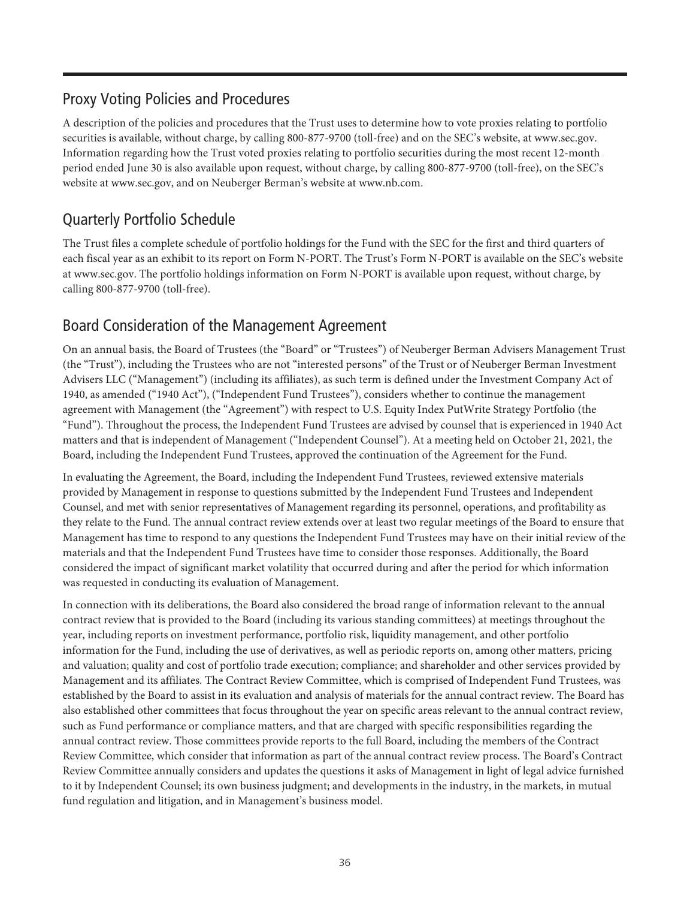## Proxy Voting Policies and Procedures

A description of the policies and procedures that the Trust uses to determine how to vote proxies relating to portfolio securities is available, without charge, by calling 800-877-9700 (toll-free) and on the SEC's website, at www.sec.gov. Information regarding how the Trust voted proxies relating to portfolio securities during the most recent 12-month period ended June 30 is also available upon request, without charge, by calling 800-877-9700 (toll-free), on the SEC's website at www.sec.gov, and on Neuberger Berman's website at www.nb.com.

## Quarterly Portfolio Schedule

The Trust files a complete schedule of portfolio holdings for the Fund with the SEC for the first and third quarters of each fiscal year as an exhibit to its report on Form N-PORT. The Trust's Form N-PORT is available on the SEC's website at www.sec.gov. The portfolio holdings information on Form N-PORT is available upon request, without charge, by calling 800-877-9700 (toll-free).

### Board Consideration of the Management Agreement

On an annual basis, the Board of Trustees (the "Board" or "Trustees") of Neuberger Berman Advisers Management Trust (the "Trust"), including the Trustees who are not "interested persons" of the Trust or of Neuberger Berman Investment Advisers LLC ("Management") (including its affiliates), as such term is defined under the Investment Company Act of 1940, as amended ("1940 Act"), ("Independent Fund Trustees"), considers whether to continue the management agreement with Management (the "Agreement") with respect to U.S. Equity Index PutWrite Strategy Portfolio (the "Fund"). Throughout the process, the Independent Fund Trustees are advised by counsel that is experienced in 1940 Act matters and that is independent of Management ("Independent Counsel"). At a meeting held on October 21, 2021, the Board, including the Independent Fund Trustees, approved the continuation of the Agreement for the Fund.

In evaluating the Agreement, the Board, including the Independent Fund Trustees, reviewed extensive materials provided by Management in response to questions submitted by the Independent Fund Trustees and Independent Counsel, and met with senior representatives of Management regarding its personnel, operations, and profitability as they relate to the Fund. The annual contract review extends over at least two regular meetings of the Board to ensure that Management has time to respond to any questions the Independent Fund Trustees may have on their initial review of the materials and that the Independent Fund Trustees have time to consider those responses. Additionally, the Board considered the impact of significant market volatility that occurred during and after the period for which information was requested in conducting its evaluation of Management.

In connection with its deliberations, the Board also considered the broad range of information relevant to the annual contract review that is provided to the Board (including its various standing committees) at meetings throughout the year, including reports on investment performance, portfolio risk, liquidity management, and other portfolio information for the Fund, including the use of derivatives, as well as periodic reports on, among other matters, pricing and valuation; quality and cost of portfolio trade execution; compliance; and shareholder and other services provided by Management and its affiliates. The Contract Review Committee, which is comprised of Independent Fund Trustees, was established by the Board to assist in its evaluation and analysis of materials for the annual contract review. The Board has also established other committees that focus throughout the year on specific areas relevant to the annual contract review, such as Fund performance or compliance matters, and that are charged with specific responsibilities regarding the annual contract review. Those committees provide reports to the full Board, including the members of the Contract Review Committee, which consider that information as part of the annual contract review process. The Board's Contract Review Committee annually considers and updates the questions it asks of Management in light of legal advice furnished to it by Independent Counsel; its own business judgment; and developments in the industry, in the markets, in mutual fund regulation and litigation, and in Management's business model.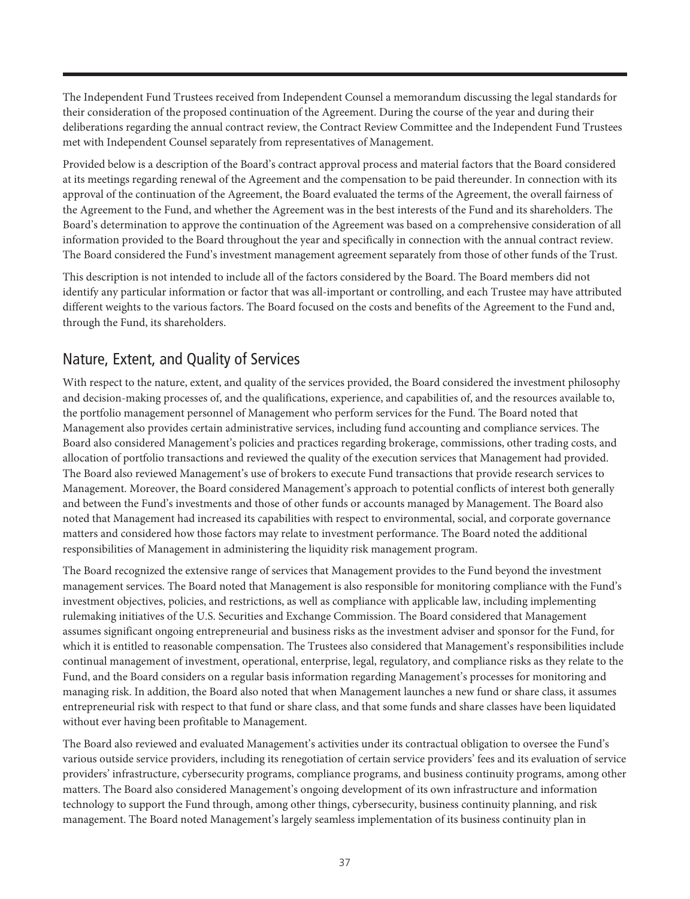The Independent Fund Trustees received from Independent Counsel a memorandum discussing the legal standards for their consideration of the proposed continuation of the Agreement. During the course of the year and during their deliberations regarding the annual contract review, the Contract Review Committee and the Independent Fund Trustees met with Independent Counsel separately from representatives of Management.

Provided below is a description of the Board's contract approval process and material factors that the Board considered at its meetings regarding renewal of the Agreement and the compensation to be paid thereunder. In connection with its approval of the continuation of the Agreement, the Board evaluated the terms of the Agreement, the overall fairness of the Agreement to the Fund, and whether the Agreement was in the best interests of the Fund and its shareholders. The Board's determination to approve the continuation of the Agreement was based on a comprehensive consideration of all information provided to the Board throughout the year and specifically in connection with the annual contract review. The Board considered the Fund's investment management agreement separately from those of other funds of the Trust.

This description is not intended to include all of the factors considered by the Board. The Board members did not identify any particular information or factor that was all-important or controlling, and each Trustee may have attributed different weights to the various factors. The Board focused on the costs and benefits of the Agreement to the Fund and, through the Fund, its shareholders.

### Nature, Extent, and Quality of Services

With respect to the nature, extent, and quality of the services provided, the Board considered the investment philosophy and decision-making processes of, and the qualifications, experience, and capabilities of, and the resources available to, the portfolio management personnel of Management who perform services for the Fund. The Board noted that Management also provides certain administrative services, including fund accounting and compliance services. The Board also considered Management's policies and practices regarding brokerage, commissions, other trading costs, and allocation of portfolio transactions and reviewed the quality of the execution services that Management had provided. The Board also reviewed Management's use of brokers to execute Fund transactions that provide research services to Management. Moreover, the Board considered Management's approach to potential conflicts of interest both generally and between the Fund's investments and those of other funds or accounts managed by Management. The Board also noted that Management had increased its capabilities with respect to environmental, social, and corporate governance matters and considered how those factors may relate to investment performance. The Board noted the additional responsibilities of Management in administering the liquidity risk management program.

The Board recognized the extensive range of services that Management provides to the Fund beyond the investment management services. The Board noted that Management is also responsible for monitoring compliance with the Fund's investment objectives, policies, and restrictions, as well as compliance with applicable law, including implementing rulemaking initiatives of the U.S. Securities and Exchange Commission. The Board considered that Management assumes significant ongoing entrepreneurial and business risks as the investment adviser and sponsor for the Fund, for which it is entitled to reasonable compensation. The Trustees also considered that Management's responsibilities include continual management of investment, operational, enterprise, legal, regulatory, and compliance risks as they relate to the Fund, and the Board considers on a regular basis information regarding Management's processes for monitoring and managing risk. In addition, the Board also noted that when Management launches a new fund or share class, it assumes entrepreneurial risk with respect to that fund or share class, and that some funds and share classes have been liquidated without ever having been profitable to Management.

The Board also reviewed and evaluated Management's activities under its contractual obligation to oversee the Fund's various outside service providers, including its renegotiation of certain service providers' fees and its evaluation of service providers' infrastructure, cybersecurity programs, compliance programs, and business continuity programs, among other matters. The Board also considered Management's ongoing development of its own infrastructure and information technology to support the Fund through, among other things, cybersecurity, business continuity planning, and risk management. The Board noted Management's largely seamless implementation of its business continuity plan in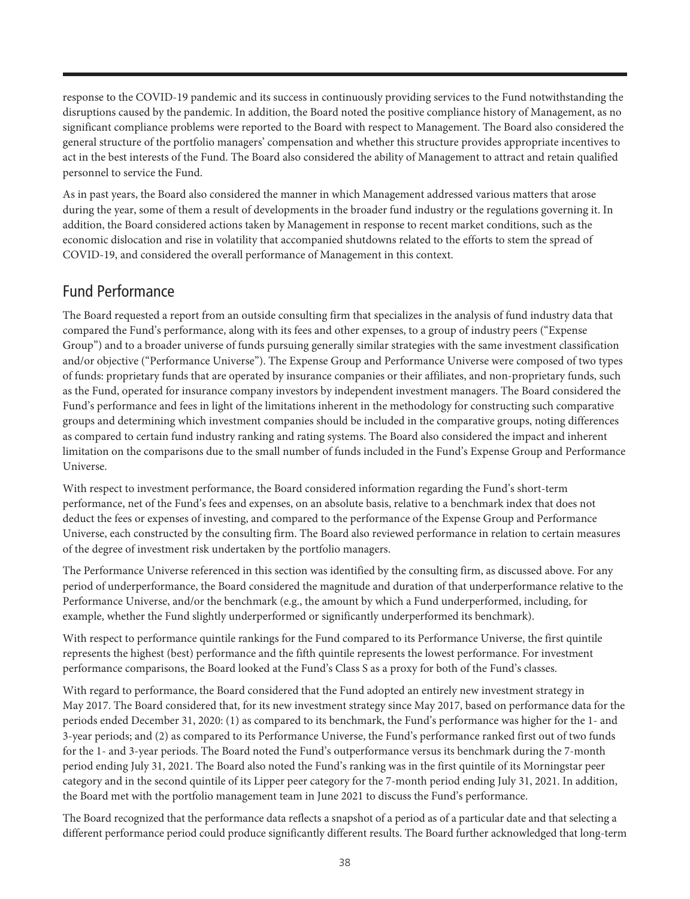response to the COVID-19 pandemic and its success in continuously providing services to the Fund notwithstanding the disruptions caused by the pandemic. In addition, the Board noted the positive compliance history of Management, as no significant compliance problems were reported to the Board with respect to Management. The Board also considered the general structure of the portfolio managers' compensation and whether this structure provides appropriate incentives to act in the best interests of the Fund. The Board also considered the ability of Management to attract and retain qualified personnel to service the Fund.

As in past years, the Board also considered the manner in which Management addressed various matters that arose during the year, some of them a result of developments in the broader fund industry or the regulations governing it. In addition, the Board considered actions taken by Management in response to recent market conditions, such as the economic dislocation and rise in volatility that accompanied shutdowns related to the efforts to stem the spread of COVID-19, and considered the overall performance of Management in this context.

### Fund Performance

The Board requested a report from an outside consulting firm that specializes in the analysis of fund industry data that compared the Fund's performance, along with its fees and other expenses, to a group of industry peers ("Expense Group") and to a broader universe of funds pursuing generally similar strategies with the same investment classification and/or objective ("Performance Universe"). The Expense Group and Performance Universe were composed of two types of funds: proprietary funds that are operated by insurance companies or their affiliates, and non-proprietary funds, such as the Fund, operated for insurance company investors by independent investment managers. The Board considered the Fund's performance and fees in light of the limitations inherent in the methodology for constructing such comparative groups and determining which investment companies should be included in the comparative groups, noting differences as compared to certain fund industry ranking and rating systems. The Board also considered the impact and inherent limitation on the comparisons due to the small number of funds included in the Fund's Expense Group and Performance Universe.

With respect to investment performance, the Board considered information regarding the Fund's short-term performance, net of the Fund's fees and expenses, on an absolute basis, relative to a benchmark index that does not deduct the fees or expenses of investing, and compared to the performance of the Expense Group and Performance Universe, each constructed by the consulting firm. The Board also reviewed performance in relation to certain measures of the degree of investment risk undertaken by the portfolio managers.

The Performance Universe referenced in this section was identified by the consulting firm, as discussed above. For any period of underperformance, the Board considered the magnitude and duration of that underperformance relative to the Performance Universe, and/or the benchmark (e.g., the amount by which a Fund underperformed, including, for example, whether the Fund slightly underperformed or significantly underperformed its benchmark).

With respect to performance quintile rankings for the Fund compared to its Performance Universe, the first quintile represents the highest (best) performance and the fifth quintile represents the lowest performance. For investment performance comparisons, the Board looked at the Fund's Class S as a proxy for both of the Fund's classes.

With regard to performance, the Board considered that the Fund adopted an entirely new investment strategy in May 2017. The Board considered that, for its new investment strategy since May 2017, based on performance data for the periods ended December 31, 2020: (1) as compared to its benchmark, the Fund's performance was higher for the 1- and 3-year periods; and (2) as compared to its Performance Universe, the Fund's performance ranked first out of two funds for the 1- and 3-year periods. The Board noted the Fund's outperformance versus its benchmark during the 7-month period ending July 31, 2021. The Board also noted the Fund's ranking was in the first quintile of its Morningstar peer category and in the second quintile of its Lipper peer category for the 7-month period ending July 31, 2021. In addition, the Board met with the portfolio management team in June 2021 to discuss the Fund's performance.

The Board recognized that the performance data reflects a snapshot of a period as of a particular date and that selecting a different performance period could produce significantly different results. The Board further acknowledged that long-term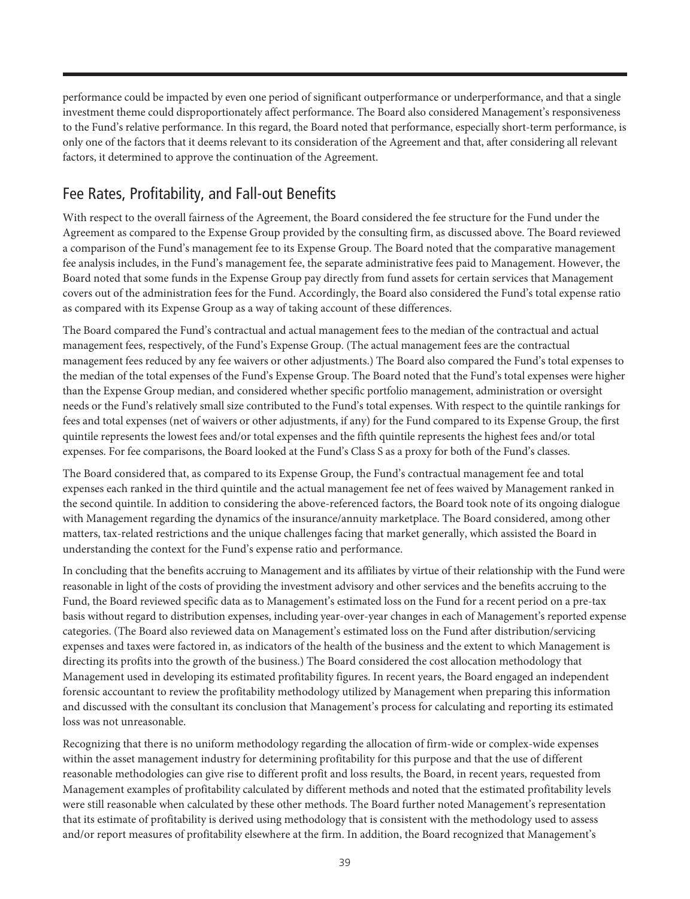performance could be impacted by even one period of significant outperformance or underperformance, and that a single investment theme could disproportionately affect performance. The Board also considered Management's responsiveness to the Fund's relative performance. In this regard, the Board noted that performance, especially short-term performance, is only one of the factors that it deems relevant to its consideration of the Agreement and that, after considering all relevant factors, it determined to approve the continuation of the Agreement.

## Fee Rates, Profitability, and Fall-out Benefits

With respect to the overall fairness of the Agreement, the Board considered the fee structure for the Fund under the Agreement as compared to the Expense Group provided by the consulting firm, as discussed above. The Board reviewed a comparison of the Fund's management fee to its Expense Group. The Board noted that the comparative management fee analysis includes, in the Fund's management fee, the separate administrative fees paid to Management. However, the Board noted that some funds in the Expense Group pay directly from fund assets for certain services that Management covers out of the administration fees for the Fund. Accordingly, the Board also considered the Fund's total expense ratio as compared with its Expense Group as a way of taking account of these differences.

The Board compared the Fund's contractual and actual management fees to the median of the contractual and actual management fees, respectively, of the Fund's Expense Group. (The actual management fees are the contractual management fees reduced by any fee waivers or other adjustments.) The Board also compared the Fund's total expenses to the median of the total expenses of the Fund's Expense Group. The Board noted that the Fund's total expenses were higher than the Expense Group median, and considered whether specific portfolio management, administration or oversight needs or the Fund's relatively small size contributed to the Fund's total expenses. With respect to the quintile rankings for fees and total expenses (net of waivers or other adjustments, if any) for the Fund compared to its Expense Group, the first quintile represents the lowest fees and/or total expenses and the fifth quintile represents the highest fees and/or total expenses. For fee comparisons, the Board looked at the Fund's Class S as a proxy for both of the Fund's classes.

The Board considered that, as compared to its Expense Group, the Fund's contractual management fee and total expenses each ranked in the third quintile and the actual management fee net of fees waived by Management ranked in the second quintile. In addition to considering the above-referenced factors, the Board took note of its ongoing dialogue with Management regarding the dynamics of the insurance/annuity marketplace. The Board considered, among other matters, tax-related restrictions and the unique challenges facing that market generally, which assisted the Board in understanding the context for the Fund's expense ratio and performance.

In concluding that the benefits accruing to Management and its affiliates by virtue of their relationship with the Fund were reasonable in light of the costs of providing the investment advisory and other services and the benefits accruing to the Fund, the Board reviewed specific data as to Management's estimated loss on the Fund for a recent period on a pre-tax basis without regard to distribution expenses, including year-over-year changes in each of Management's reported expense categories. (The Board also reviewed data on Management's estimated loss on the Fund after distribution/servicing expenses and taxes were factored in, as indicators of the health of the business and the extent to which Management is directing its profits into the growth of the business.) The Board considered the cost allocation methodology that Management used in developing its estimated profitability figures. In recent years, the Board engaged an independent forensic accountant to review the profitability methodology utilized by Management when preparing this information and discussed with the consultant its conclusion that Management's process for calculating and reporting its estimated loss was not unreasonable.

Recognizing that there is no uniform methodology regarding the allocation of firm-wide or complex-wide expenses within the asset management industry for determining profitability for this purpose and that the use of different reasonable methodologies can give rise to different profit and loss results, the Board, in recent years, requested from Management examples of profitability calculated by different methods and noted that the estimated profitability levels were still reasonable when calculated by these other methods. The Board further noted Management's representation that its estimate of profitability is derived using methodology that is consistent with the methodology used to assess and/or report measures of profitability elsewhere at the firm. In addition, the Board recognized that Management's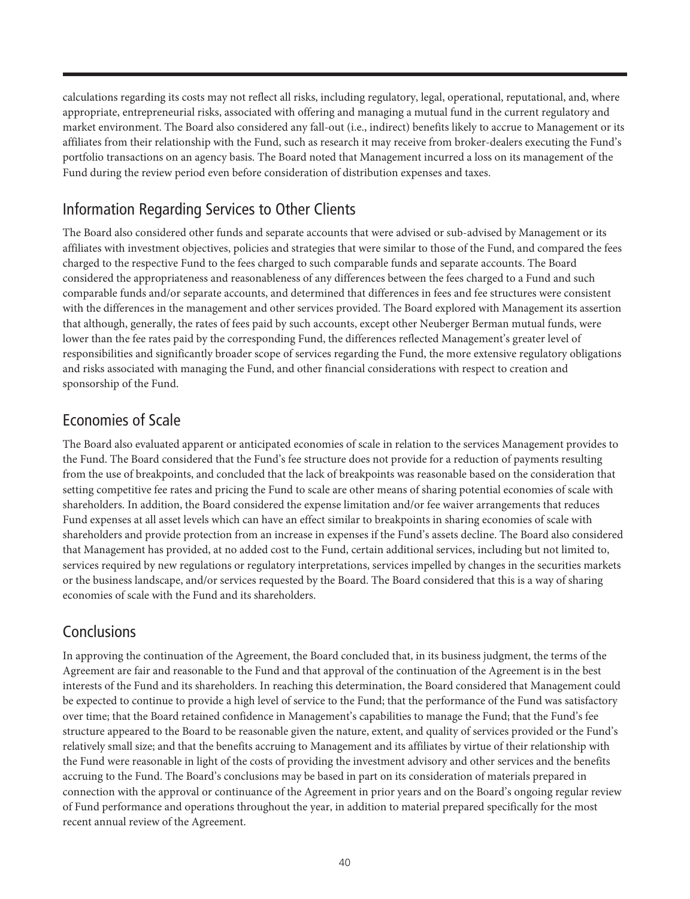calculations regarding its costs may not reflect all risks, including regulatory, legal, operational, reputational, and, where appropriate, entrepreneurial risks, associated with offering and managing a mutual fund in the current regulatory and market environment. The Board also considered any fall-out (i.e., indirect) benefits likely to accrue to Management or its affiliates from their relationship with the Fund, such as research it may receive from broker-dealers executing the Fund's portfolio transactions on an agency basis. The Board noted that Management incurred a loss on its management of the Fund during the review period even before consideration of distribution expenses and taxes.

### Information Regarding Services to Other Clients

The Board also considered other funds and separate accounts that were advised or sub-advised by Management or its affiliates with investment objectives, policies and strategies that were similar to those of the Fund, and compared the fees charged to the respective Fund to the fees charged to such comparable funds and separate accounts. The Board considered the appropriateness and reasonableness of any differences between the fees charged to a Fund and such comparable funds and/or separate accounts, and determined that differences in fees and fee structures were consistent with the differences in the management and other services provided. The Board explored with Management its assertion that although, generally, the rates of fees paid by such accounts, except other Neuberger Berman mutual funds, were lower than the fee rates paid by the corresponding Fund, the differences reflected Management's greater level of responsibilities and significantly broader scope of services regarding the Fund, the more extensive regulatory obligations and risks associated with managing the Fund, and other financial considerations with respect to creation and sponsorship of the Fund.

### Economies of Scale

The Board also evaluated apparent or anticipated economies of scale in relation to the services Management provides to the Fund. The Board considered that the Fund's fee structure does not provide for a reduction of payments resulting from the use of breakpoints, and concluded that the lack of breakpoints was reasonable based on the consideration that setting competitive fee rates and pricing the Fund to scale are other means of sharing potential economies of scale with shareholders. In addition, the Board considered the expense limitation and/or fee waiver arrangements that reduces Fund expenses at all asset levels which can have an effect similar to breakpoints in sharing economies of scale with shareholders and provide protection from an increase in expenses if the Fund's assets decline. The Board also considered that Management has provided, at no added cost to the Fund, certain additional services, including but not limited to, services required by new regulations or regulatory interpretations, services impelled by changes in the securities markets or the business landscape, and/or services requested by the Board. The Board considered that this is a way of sharing economies of scale with the Fund and its shareholders.

## **Conclusions**

In approving the continuation of the Agreement, the Board concluded that, in its business judgment, the terms of the Agreement are fair and reasonable to the Fund and that approval of the continuation of the Agreement is in the best interests of the Fund and its shareholders. In reaching this determination, the Board considered that Management could be expected to continue to provide a high level of service to the Fund; that the performance of the Fund was satisfactory over time; that the Board retained confidence in Management's capabilities to manage the Fund; that the Fund's fee structure appeared to the Board to be reasonable given the nature, extent, and quality of services provided or the Fund's relatively small size; and that the benefits accruing to Management and its affiliates by virtue of their relationship with the Fund were reasonable in light of the costs of providing the investment advisory and other services and the benefits accruing to the Fund. The Board's conclusions may be based in part on its consideration of materials prepared in connection with the approval or continuance of the Agreement in prior years and on the Board's ongoing regular review of Fund performance and operations throughout the year, in addition to material prepared specifically for the most recent annual review of the Agreement.